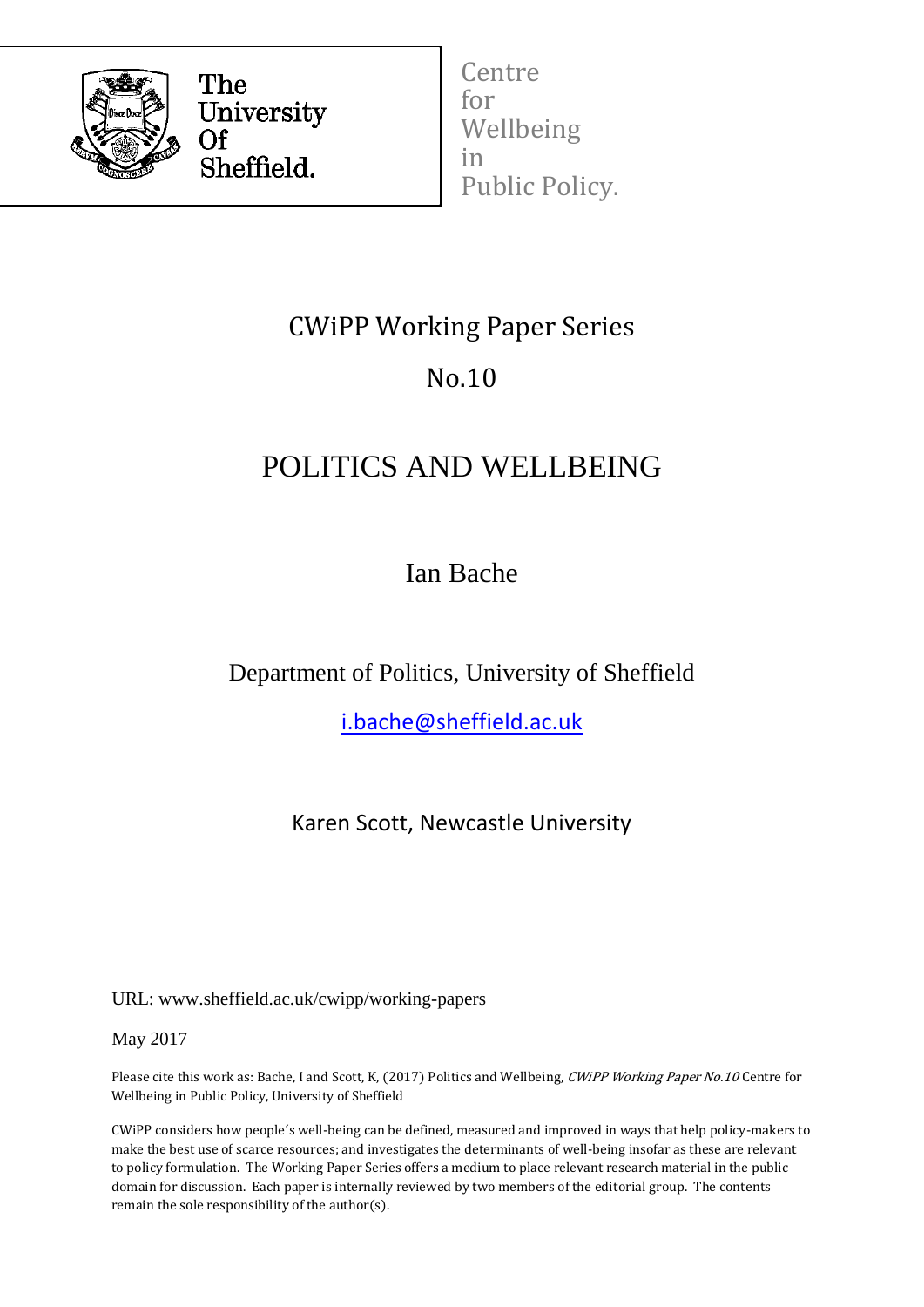

The University Of Sheffield.

**Centre** for Wellbeing in Public Policy.

## CWiPP Working Paper Series

## No.10

# POLITICS AND WELLBEING

Ian Bache

Department of Politics, University of Sheffield

[i.bache@sheffield.ac.uk](mailto:i.bache@sheffield.ac.uk)

Karen Scott, Newcastle University

### URL: www.sheffield.ac.uk/cwipp/working-papers

May 2017

Please cite this work as: Bache, I and Scott, K, (2017) Politics and Wellbeing, CWiPP Working Paper No.10 Centre for Wellbeing in Public Policy, University of Sheffield

CWiPP considers how people´s well-being can be defined, measured and improved in ways that help policy-makers to make the best use of scarce resources; and investigates the determinants of well-being insofar as these are relevant to policy formulation. The Working Paper Series offers a medium to place relevant research material in the public domain for discussion. Each paper is internally reviewed by two members of the editorial group. The contents remain the sole responsibility of the author(s).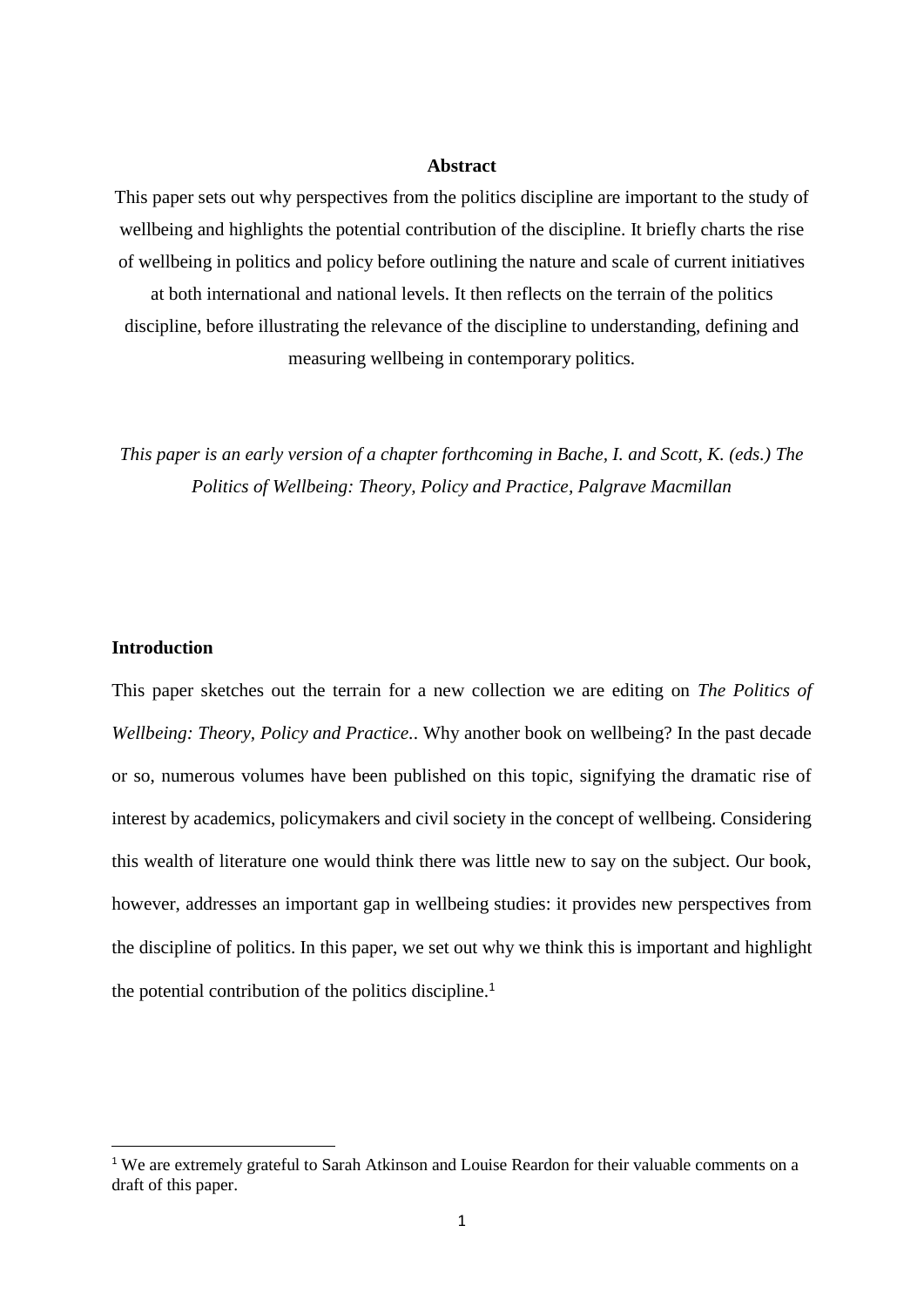#### **Abstract**

This paper sets out why perspectives from the politics discipline are important to the study of wellbeing and highlights the potential contribution of the discipline. It briefly charts the rise of wellbeing in politics and policy before outlining the nature and scale of current initiatives at both international and national levels. It then reflects on the terrain of the politics discipline, before illustrating the relevance of the discipline to understanding, defining and measuring wellbeing in contemporary politics.

*This paper is an early version of a chapter forthcoming in Bache, I. and Scott, K. (eds.) The Politics of Wellbeing: Theory, Policy and Practice, Palgrave Macmillan*

#### **Introduction**

**.** 

This paper sketches out the terrain for a new collection we are editing on *The Politics of Wellbeing: Theory, Policy and Practice.*. Why another book on wellbeing? In the past decade or so, numerous volumes have been published on this topic, signifying the dramatic rise of interest by academics, policymakers and civil society in the concept of wellbeing. Considering this wealth of literature one would think there was little new to say on the subject. Our book, however, addresses an important gap in wellbeing studies: it provides new perspectives from the discipline of politics. In this paper, we set out why we think this is important and highlight the potential contribution of the politics discipline.<sup>1</sup>

<sup>&</sup>lt;sup>1</sup> We are extremely grateful to Sarah Atkinson and Louise Reardon for their valuable comments on a draft of this paper.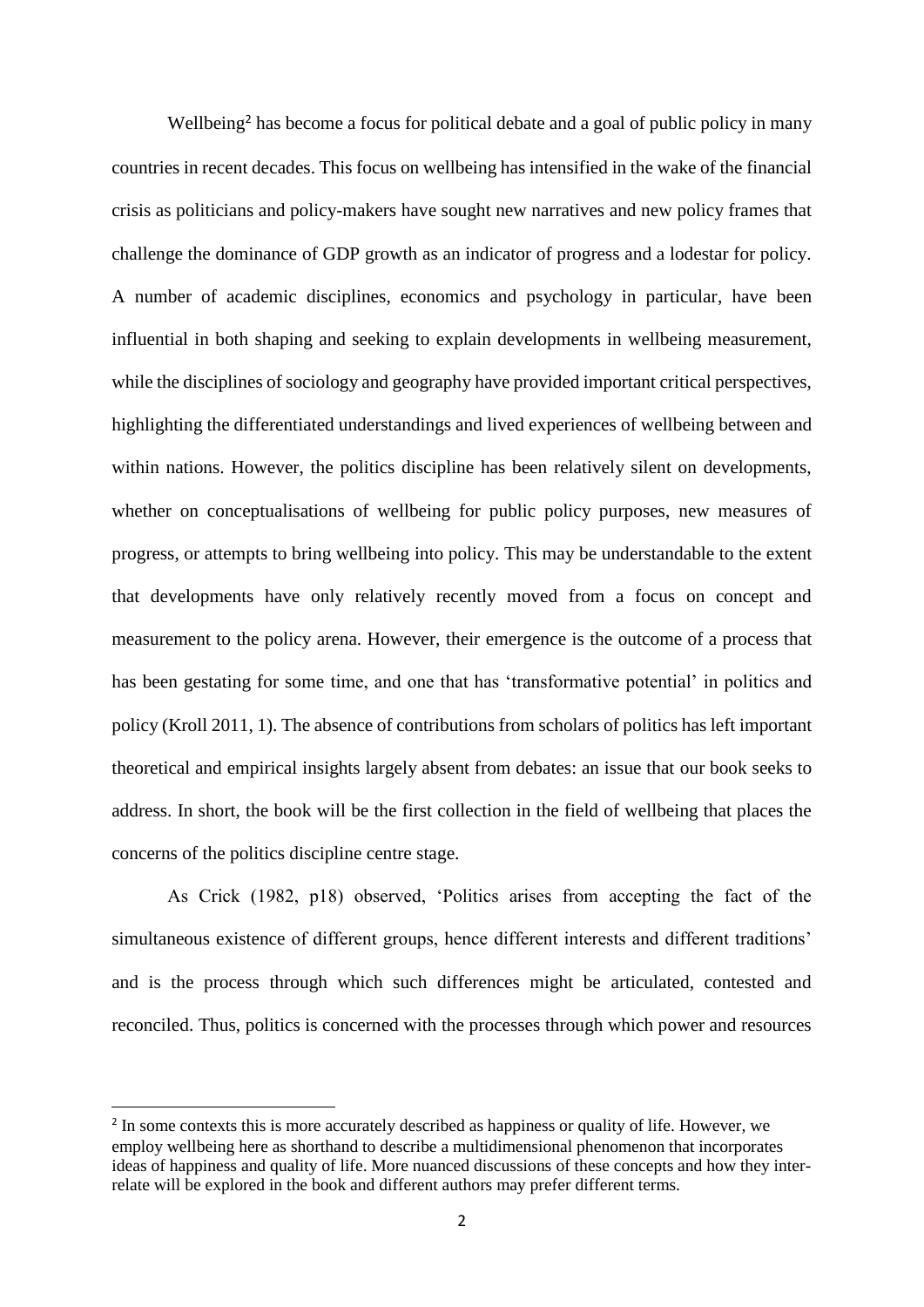Wellbeing<sup>2</sup> has become a focus for political debate and a goal of public policy in many countries in recent decades. This focus on wellbeing has intensified in the wake of the financial crisis as politicians and policy-makers have sought new narratives and new policy frames that challenge the dominance of GDP growth as an indicator of progress and a lodestar for policy. A number of academic disciplines, economics and psychology in particular, have been influential in both shaping and seeking to explain developments in wellbeing measurement, while the disciplines of sociology and geography have provided important critical perspectives, highlighting the differentiated understandings and lived experiences of wellbeing between and within nations. However, the politics discipline has been relatively silent on developments, whether on conceptualisations of wellbeing for public policy purposes, new measures of progress, or attempts to bring wellbeing into policy. This may be understandable to the extent that developments have only relatively recently moved from a focus on concept and measurement to the policy arena. However, their emergence is the outcome of a process that has been gestating for some time, and one that has 'transformative potential' in politics and policy (Kroll 2011, 1). The absence of contributions from scholars of politics has left important theoretical and empirical insights largely absent from debates: an issue that our book seeks to address. In short, the book will be the first collection in the field of wellbeing that places the concerns of the politics discipline centre stage.

As Crick (1982, p18) observed, 'Politics arises from accepting the fact of the simultaneous existence of different groups, hence different interests and different traditions' and is the process through which such differences might be articulated, contested and reconciled. Thus, politics is concerned with the processes through which power and resources

1

<sup>&</sup>lt;sup>2</sup> In some contexts this is more accurately described as happiness or quality of life. However, we employ wellbeing here as shorthand to describe a multidimensional phenomenon that incorporates ideas of happiness and quality of life. More nuanced discussions of these concepts and how they interrelate will be explored in the book and different authors may prefer different terms.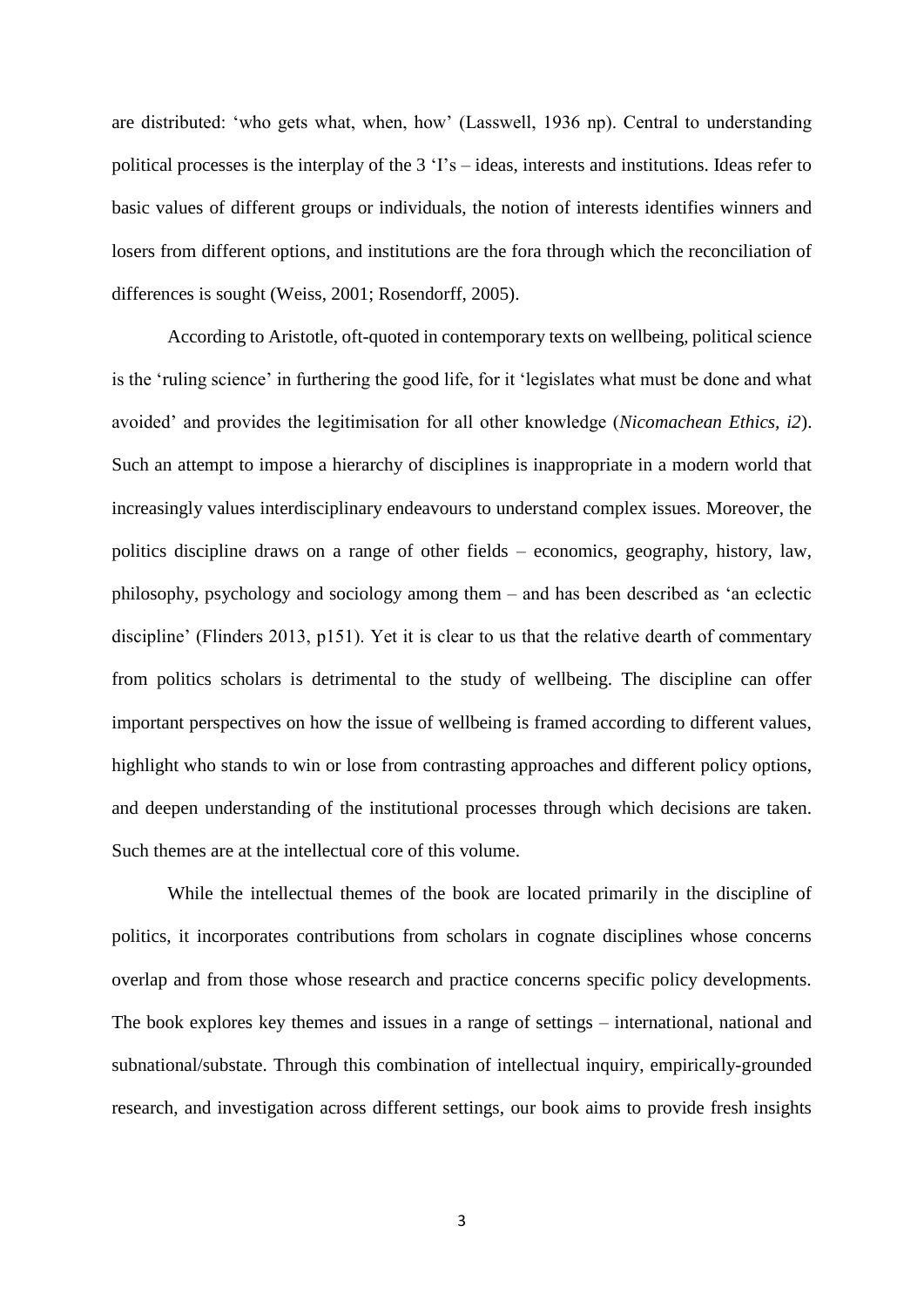are distributed: 'who gets what, when, how' (Lasswell, 1936 np). Central to understanding political processes is the interplay of the 3 'I's – ideas, interests and institutions. Ideas refer to basic values of different groups or individuals, the notion of interests identifies winners and losers from different options, and institutions are the fora through which the reconciliation of differences is sought (Weiss, 2001; Rosendorff, 2005).

According to Aristotle, oft-quoted in contemporary texts on wellbeing, political science is the 'ruling science' in furthering the good life, for it 'legislates what must be done and what avoided' and provides the legitimisation for all other knowledge (*Nicomachean Ethics, i2*). Such an attempt to impose a hierarchy of disciplines is inappropriate in a modern world that increasingly values interdisciplinary endeavours to understand complex issues. Moreover, the politics discipline draws on a range of other fields – economics, geography, history, law, philosophy, psychology and sociology among them – and has been described as 'an eclectic discipline' (Flinders 2013, p151). Yet it is clear to us that the relative dearth of commentary from politics scholars is detrimental to the study of wellbeing. The discipline can offer important perspectives on how the issue of wellbeing is framed according to different values, highlight who stands to win or lose from contrasting approaches and different policy options, and deepen understanding of the institutional processes through which decisions are taken. Such themes are at the intellectual core of this volume.

While the intellectual themes of the book are located primarily in the discipline of politics, it incorporates contributions from scholars in cognate disciplines whose concerns overlap and from those whose research and practice concerns specific policy developments. The book explores key themes and issues in a range of settings – international, national and subnational/substate. Through this combination of intellectual inquiry, empirically-grounded research, and investigation across different settings, our book aims to provide fresh insights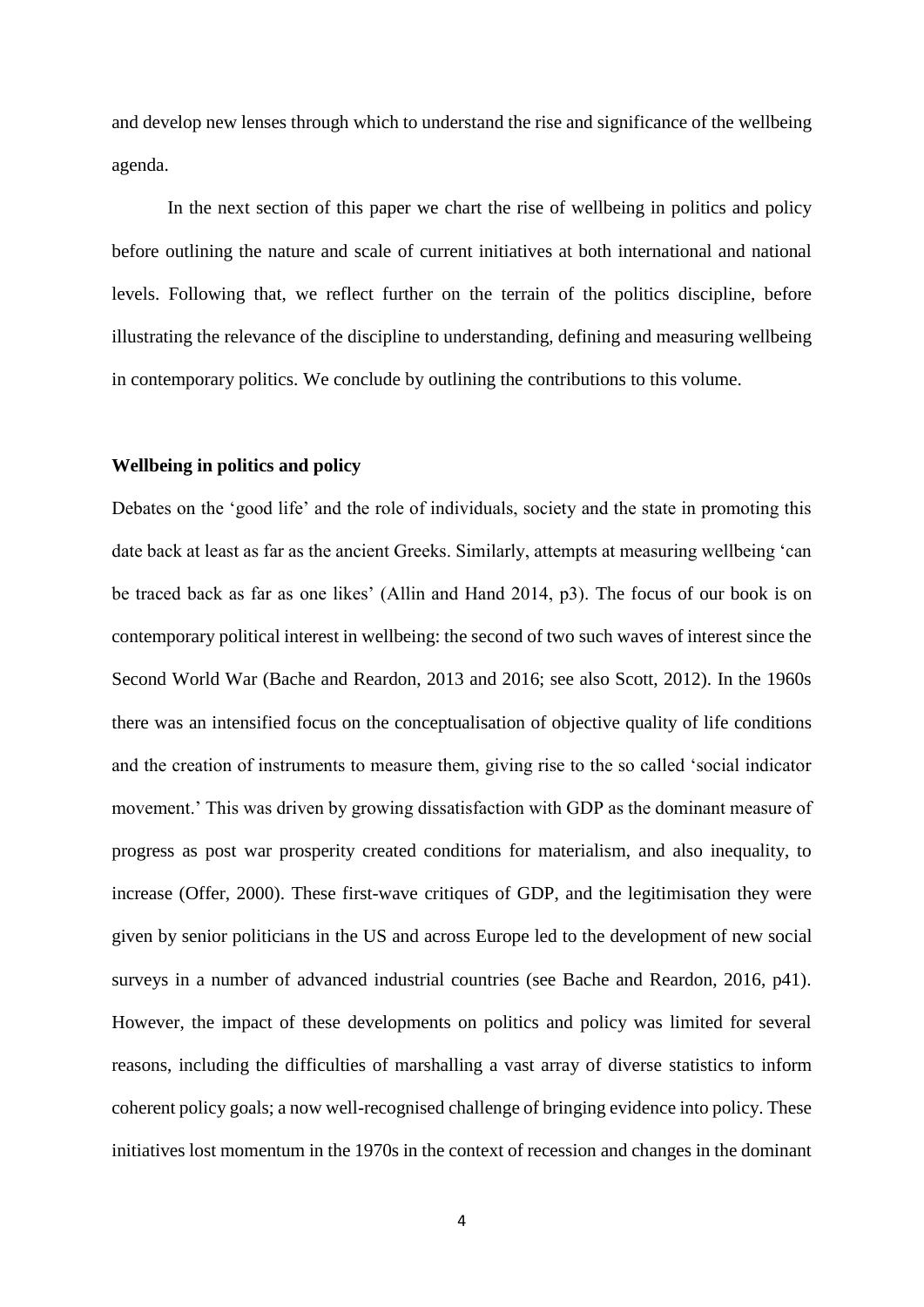and develop new lenses through which to understand the rise and significance of the wellbeing agenda.

In the next section of this paper we chart the rise of wellbeing in politics and policy before outlining the nature and scale of current initiatives at both international and national levels. Following that, we reflect further on the terrain of the politics discipline, before illustrating the relevance of the discipline to understanding, defining and measuring wellbeing in contemporary politics. We conclude by outlining the contributions to this volume.

#### **Wellbeing in politics and policy**

Debates on the 'good life' and the role of individuals, society and the state in promoting this date back at least as far as the ancient Greeks. Similarly, attempts at measuring wellbeing 'can be traced back as far as one likes' (Allin and Hand 2014, p3). The focus of our book is on contemporary political interest in wellbeing: the second of two such waves of interest since the Second World War (Bache and Reardon, 2013 and 2016; see also Scott, 2012). In the 1960s there was an intensified focus on the conceptualisation of objective quality of life conditions and the creation of instruments to measure them, giving rise to the so called 'social indicator movement.' This was driven by growing dissatisfaction with GDP as the dominant measure of progress as post war prosperity created conditions for materialism, and also inequality, to increase (Offer, 2000). These first-wave critiques of GDP, and the legitimisation they were given by senior politicians in the US and across Europe led to the development of new social surveys in a number of advanced industrial countries (see Bache and Reardon, 2016, p41). However, the impact of these developments on politics and policy was limited for several reasons, including the difficulties of marshalling a vast array of diverse statistics to inform coherent policy goals; a now well-recognised challenge of bringing evidence into policy. These initiatives lost momentum in the 1970s in the context of recession and changes in the dominant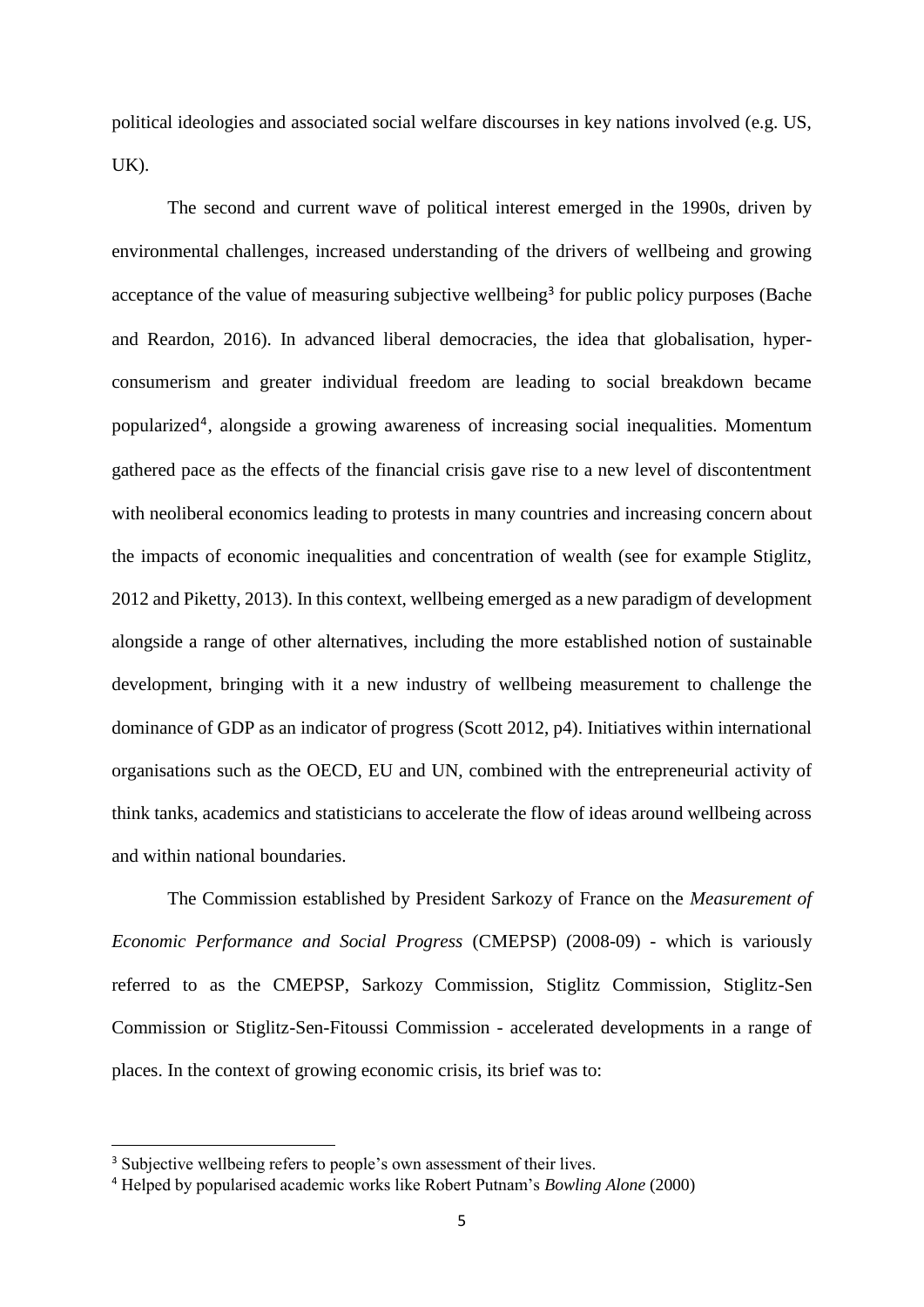political ideologies and associated social welfare discourses in key nations involved (e.g. US,  $U(K)$ .

The second and current wave of political interest emerged in the 1990s, driven by environmental challenges, increased understanding of the drivers of wellbeing and growing acceptance of the value of measuring subjective wellbeing<sup>3</sup> for public policy purposes (Bache and Reardon, 2016). In advanced liberal democracies, the idea that globalisation, hyperconsumerism and greater individual freedom are leading to social breakdown became popularized<sup>4</sup> , alongside a growing awareness of increasing social inequalities. Momentum gathered pace as the effects of the financial crisis gave rise to a new level of discontentment with neoliberal economics leading to protests in many countries and increasing concern about the impacts of economic inequalities and concentration of wealth (see for example Stiglitz, 2012 and Piketty, 2013). In this context, wellbeing emerged as a new paradigm of development alongside a range of other alternatives, including the more established notion of sustainable development, bringing with it a new industry of wellbeing measurement to challenge the dominance of GDP as an indicator of progress (Scott 2012, p4). Initiatives within international organisations such as the OECD, EU and UN, combined with the entrepreneurial activity of think tanks, academics and statisticians to accelerate the flow of ideas around wellbeing across and within national boundaries.

The Commission established by President Sarkozy of France on the *Measurement of Economic Performance and Social Progress* (CMEPSP) (2008-09) - which is variously referred to as the CMEPSP, Sarkozy Commission, Stiglitz Commission, Stiglitz-Sen Commission or Stiglitz-Sen-Fitoussi Commission - accelerated developments in a range of places. In the context of growing economic crisis, its brief was to:

**.** 

<sup>&</sup>lt;sup>3</sup> Subjective wellbeing refers to people's own assessment of their lives.

<sup>4</sup> Helped by popularised academic works like Robert Putnam's *Bowling Alone* (2000)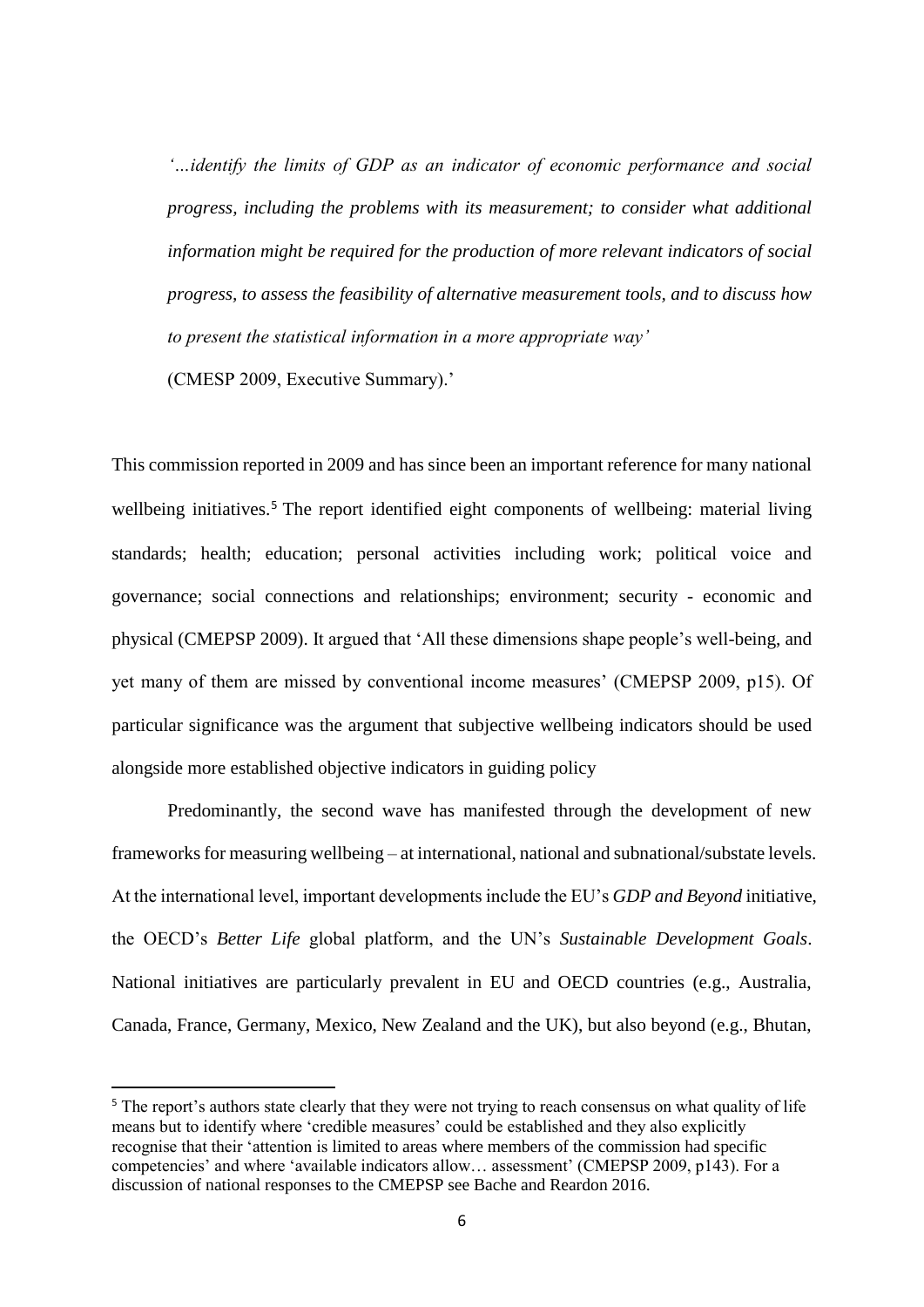*'…identify the limits of GDP as an indicator of economic performance and social progress, including the problems with its measurement; to consider what additional information might be required for the production of more relevant indicators of social progress, to assess the feasibility of alternative measurement tools, and to discuss how to present the statistical information in a more appropriate way'* 

(CMESP 2009, Executive Summary).'

 $\overline{a}$ 

This commission reported in 2009 and has since been an important reference for many national wellbeing initiatives.<sup>5</sup> The report identified eight components of wellbeing: material living standards; health; education; personal activities including work; political voice and governance; social connections and relationships; environment; security - economic and physical (CMEPSP 2009). It argued that 'All these dimensions shape people's well-being, and yet many of them are missed by conventional income measures' (CMEPSP 2009, p15). Of particular significance was the argument that subjective wellbeing indicators should be used alongside more established objective indicators in guiding policy

Predominantly, the second wave has manifested through the development of new frameworks for measuring wellbeing – at international, national and subnational/substate levels. At the international level, important developments include the EU's *GDP and Beyond* initiative, the OECD's *Better Life* global platform, and the UN's *Sustainable Development Goals*. National initiatives are particularly prevalent in EU and OECD countries (e.g., Australia, Canada, France, Germany, Mexico, New Zealand and the UK), but also beyond (e.g., Bhutan,

<sup>&</sup>lt;sup>5</sup> The report's authors state clearly that they were not trying to reach consensus on what quality of life means but to identify where 'credible measures' could be established and they also explicitly recognise that their 'attention is limited to areas where members of the commission had specific competencies' and where 'available indicators allow… assessment' (CMEPSP 2009, p143). For a discussion of national responses to the CMEPSP see Bache and Reardon 2016.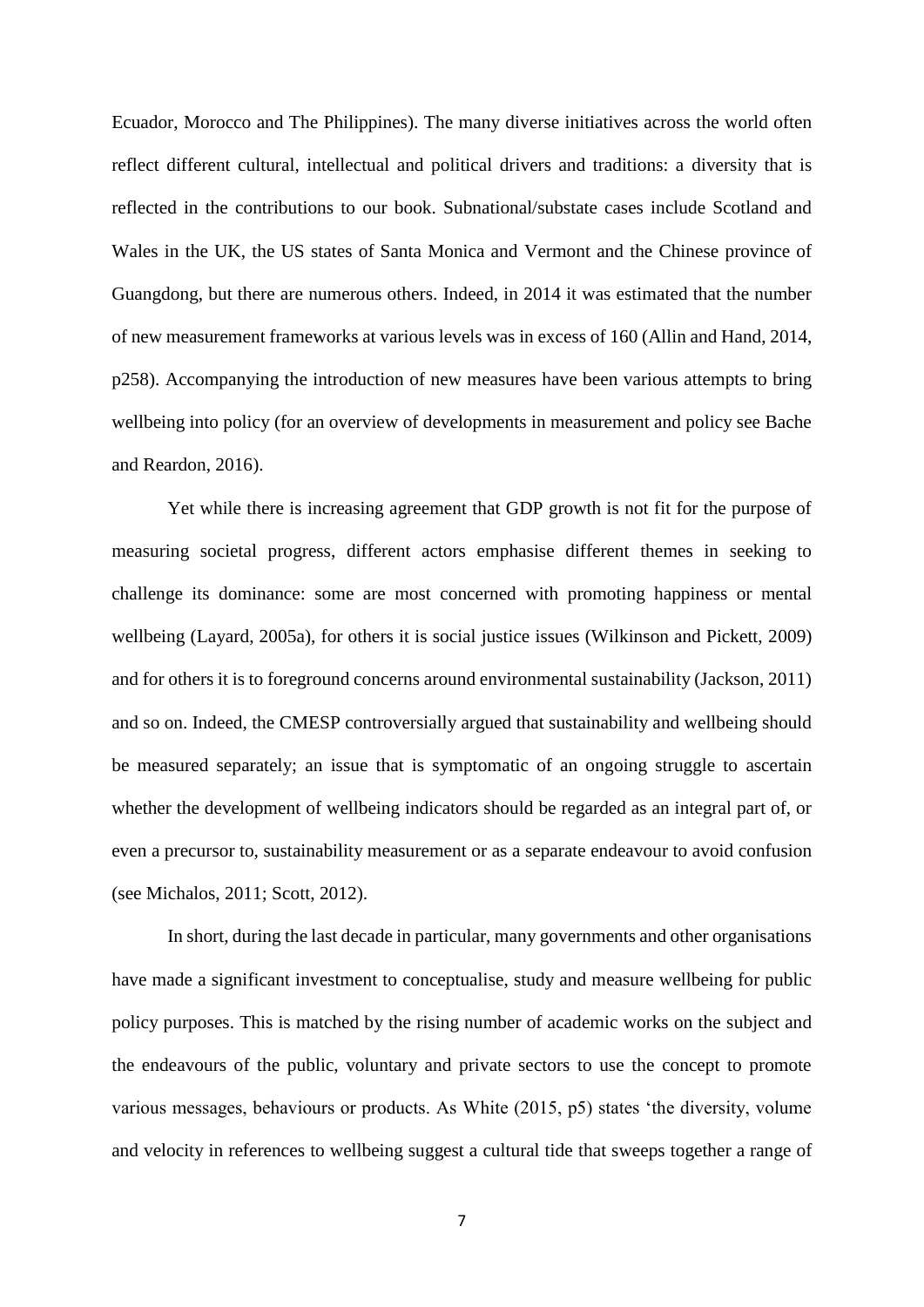Ecuador, Morocco and The Philippines). The many diverse initiatives across the world often reflect different cultural, intellectual and political drivers and traditions: a diversity that is reflected in the contributions to our book. Subnational/substate cases include Scotland and Wales in the UK, the US states of Santa Monica and Vermont and the Chinese province of Guangdong, but there are numerous others. Indeed, in 2014 it was estimated that the number of new measurement frameworks at various levels was in excess of 160 (Allin and Hand, 2014, p258). Accompanying the introduction of new measures have been various attempts to bring wellbeing into policy (for an overview of developments in measurement and policy see Bache and Reardon, 2016).

Yet while there is increasing agreement that GDP growth is not fit for the purpose of measuring societal progress, different actors emphasise different themes in seeking to challenge its dominance: some are most concerned with promoting happiness or mental wellbeing (Layard, 2005a), for others it is social justice issues (Wilkinson and Pickett, 2009) and for others it is to foreground concerns around environmental sustainability (Jackson, 2011) and so on. Indeed, the CMESP controversially argued that sustainability and wellbeing should be measured separately; an issue that is symptomatic of an ongoing struggle to ascertain whether the development of wellbeing indicators should be regarded as an integral part of, or even a precursor to, sustainability measurement or as a separate endeavour to avoid confusion (see Michalos, 2011; Scott, 2012).

In short, during the last decade in particular, many governments and other organisations have made a significant investment to conceptualise, study and measure wellbeing for public policy purposes. This is matched by the rising number of academic works on the subject and the endeavours of the public, voluntary and private sectors to use the concept to promote various messages, behaviours or products. As White (2015, p5) states 'the diversity, volume and velocity in references to wellbeing suggest a cultural tide that sweeps together a range of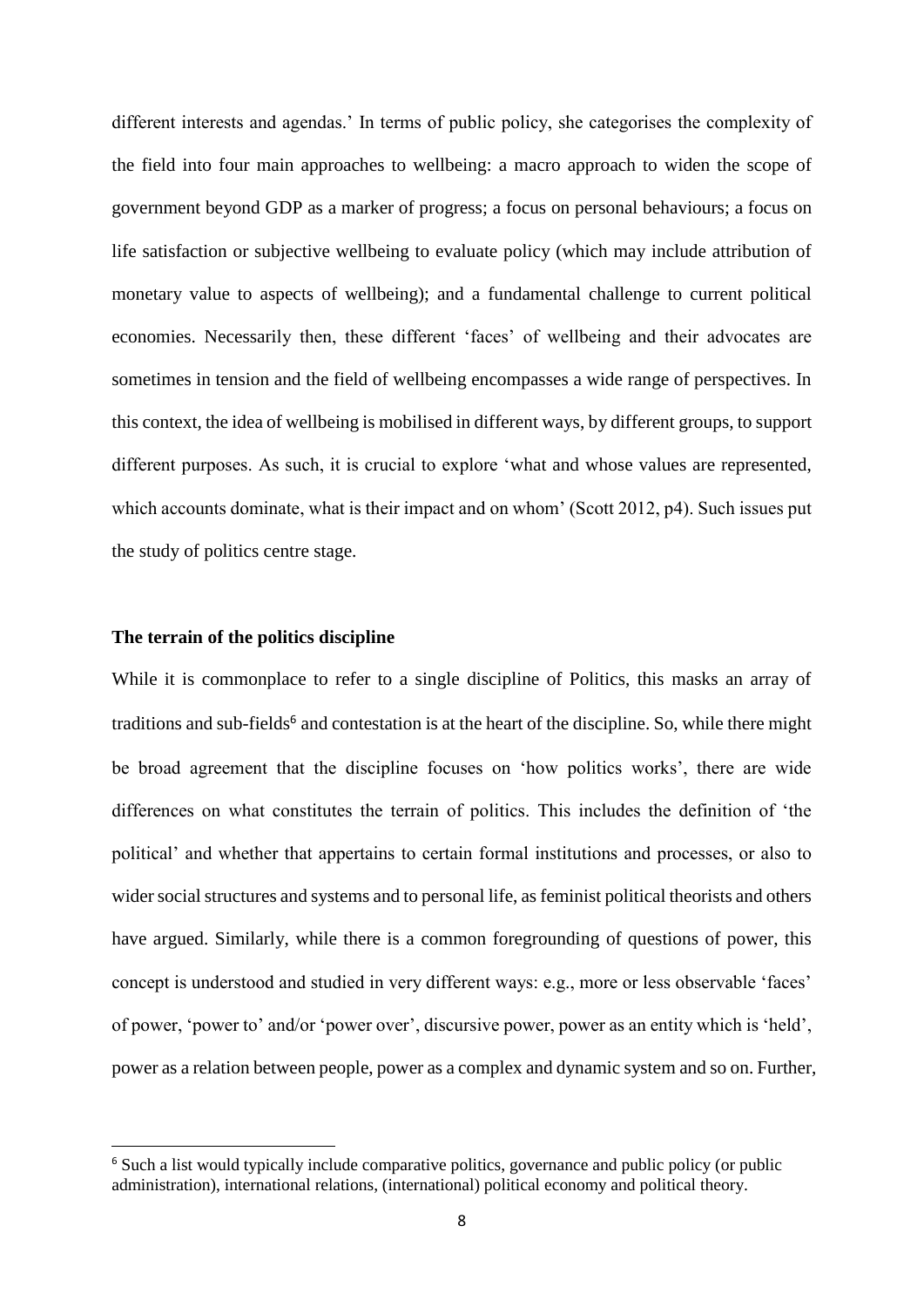different interests and agendas.' In terms of public policy, she categorises the complexity of the field into four main approaches to wellbeing: a macro approach to widen the scope of government beyond GDP as a marker of progress; a focus on personal behaviours; a focus on life satisfaction or subjective wellbeing to evaluate policy (which may include attribution of monetary value to aspects of wellbeing); and a fundamental challenge to current political economies. Necessarily then, these different 'faces' of wellbeing and their advocates are sometimes in tension and the field of wellbeing encompasses a wide range of perspectives. In this context, the idea of wellbeing is mobilised in different ways, by different groups, to support different purposes. As such, it is crucial to explore 'what and whose values are represented, which accounts dominate, what is their impact and on whom' (Scott 2012, p4). Such issues put the study of politics centre stage.

#### **The terrain of the politics discipline**

**.** 

While it is commonplace to refer to a single discipline of Politics, this masks an array of traditions and sub-fields<sup>6</sup> and contestation is at the heart of the discipline. So, while there might be broad agreement that the discipline focuses on 'how politics works', there are wide differences on what constitutes the terrain of politics. This includes the definition of 'the political' and whether that appertains to certain formal institutions and processes, or also to wider social structures and systems and to personal life, as feminist political theorists and others have argued. Similarly, while there is a common foregrounding of questions of power, this concept is understood and studied in very different ways: e.g., more or less observable 'faces' of power, 'power to' and/or 'power over', discursive power, power as an entity which is 'held', power as a relation between people, power as a complex and dynamic system and so on. Further,

<sup>&</sup>lt;sup>6</sup> Such a list would typically include comparative politics, governance and public policy (or public administration), international relations, (international) political economy and political theory.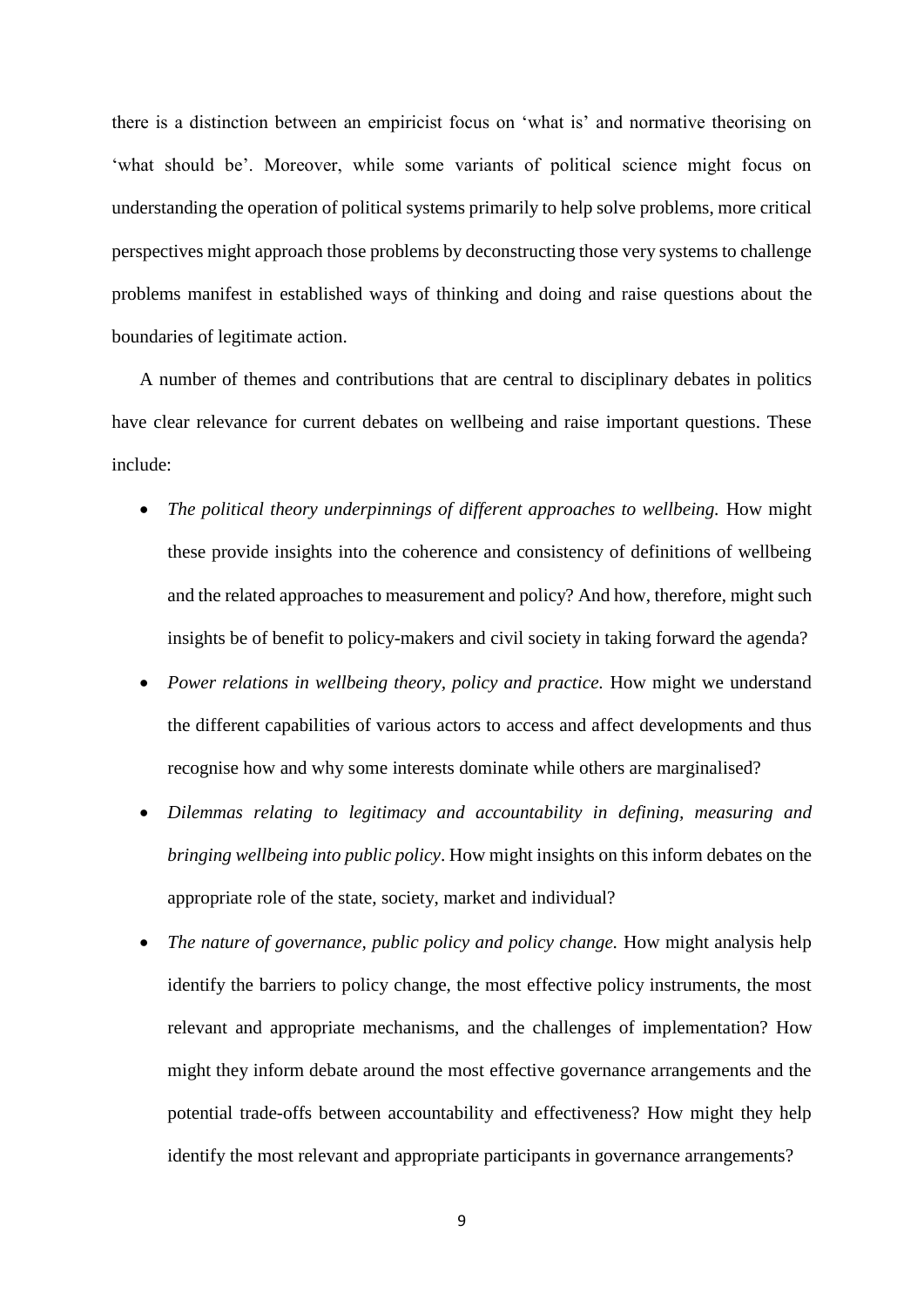there is a distinction between an empiricist focus on 'what is' and normative theorising on 'what should be'. Moreover, while some variants of political science might focus on understanding the operation of political systems primarily to help solve problems, more critical perspectives might approach those problems by deconstructing those very systems to challenge problems manifest in established ways of thinking and doing and raise questions about the boundaries of legitimate action.

A number of themes and contributions that are central to disciplinary debates in politics have clear relevance for current debates on wellbeing and raise important questions. These include:

- The political theory underpinnings of different approaches to wellbeing. How might these provide insights into the coherence and consistency of definitions of wellbeing and the related approaches to measurement and policy? And how, therefore, might such insights be of benefit to policy-makers and civil society in taking forward the agenda?
- *Power relations in wellbeing theory, policy and practice.* How might we understand the different capabilities of various actors to access and affect developments and thus recognise how and why some interests dominate while others are marginalised?
- *Dilemmas relating to legitimacy and accountability in defining, measuring and bringing wellbeing into public policy*. How might insights on this inform debates on the appropriate role of the state, society, market and individual?
- *The nature of governance, public policy and policy change.* How might analysis help identify the barriers to policy change, the most effective policy instruments, the most relevant and appropriate mechanisms, and the challenges of implementation? How might they inform debate around the most effective governance arrangements and the potential trade-offs between accountability and effectiveness? How might they help identify the most relevant and appropriate participants in governance arrangements?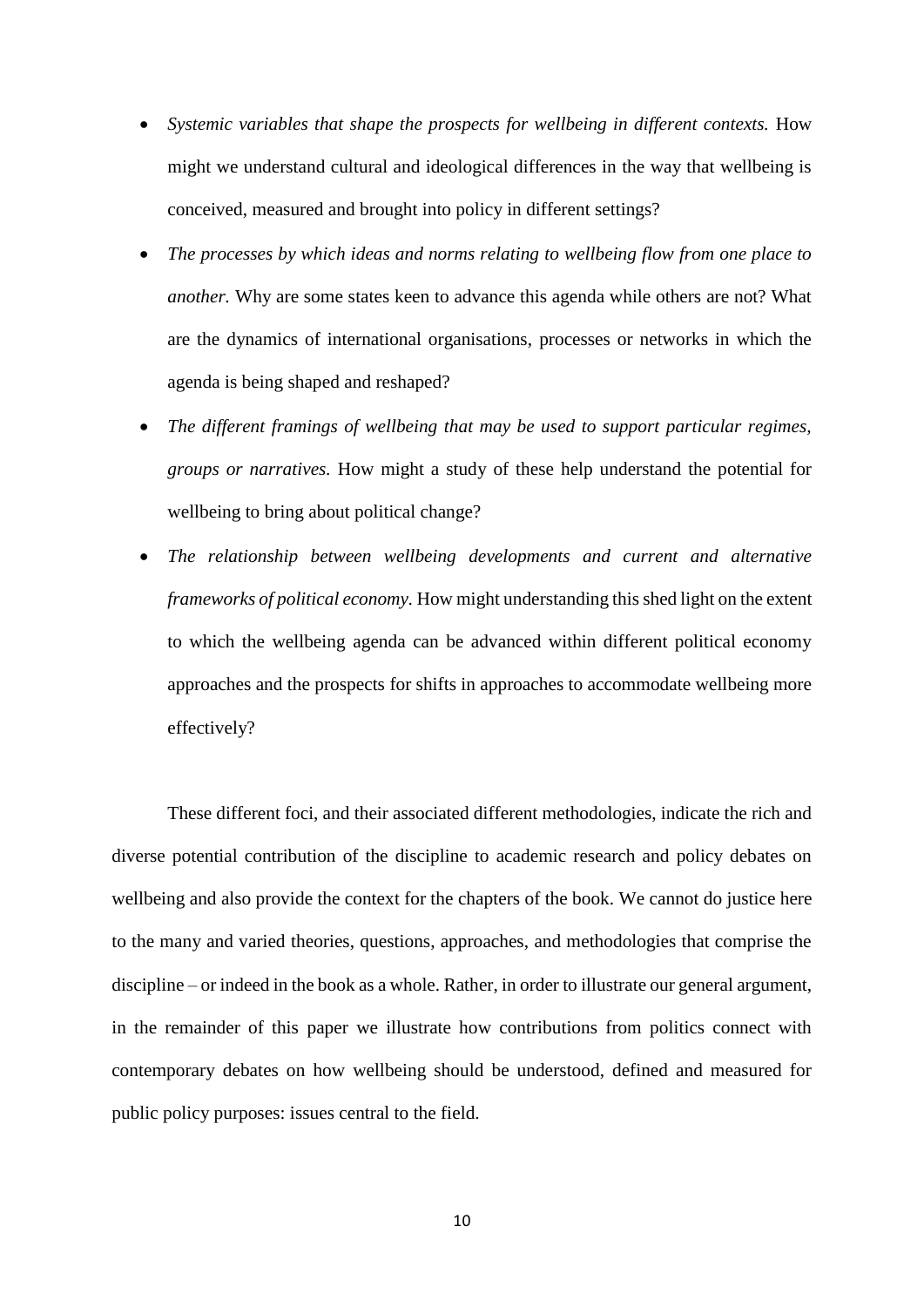- *Systemic variables that shape the prospects for wellbeing in different contexts.* How might we understand cultural and ideological differences in the way that wellbeing is conceived, measured and brought into policy in different settings?
- *The processes by which ideas and norms relating to wellbeing flow from one place to another.* Why are some states keen to advance this agenda while others are not? What are the dynamics of international organisations, processes or networks in which the agenda is being shaped and reshaped?
- *The different framings of wellbeing that may be used to support particular regimes, groups or narratives.* How might a study of these help understand the potential for wellbeing to bring about political change?
- *The relationship between wellbeing developments and current and alternative frameworks of political economy.* How might understanding this shed light on the extent to which the wellbeing agenda can be advanced within different political economy approaches and the prospects for shifts in approaches to accommodate wellbeing more effectively?

These different foci, and their associated different methodologies, indicate the rich and diverse potential contribution of the discipline to academic research and policy debates on wellbeing and also provide the context for the chapters of the book. We cannot do justice here to the many and varied theories, questions, approaches, and methodologies that comprise the discipline – or indeed in the book as a whole. Rather, in order to illustrate our general argument, in the remainder of this paper we illustrate how contributions from politics connect with contemporary debates on how wellbeing should be understood, defined and measured for public policy purposes: issues central to the field.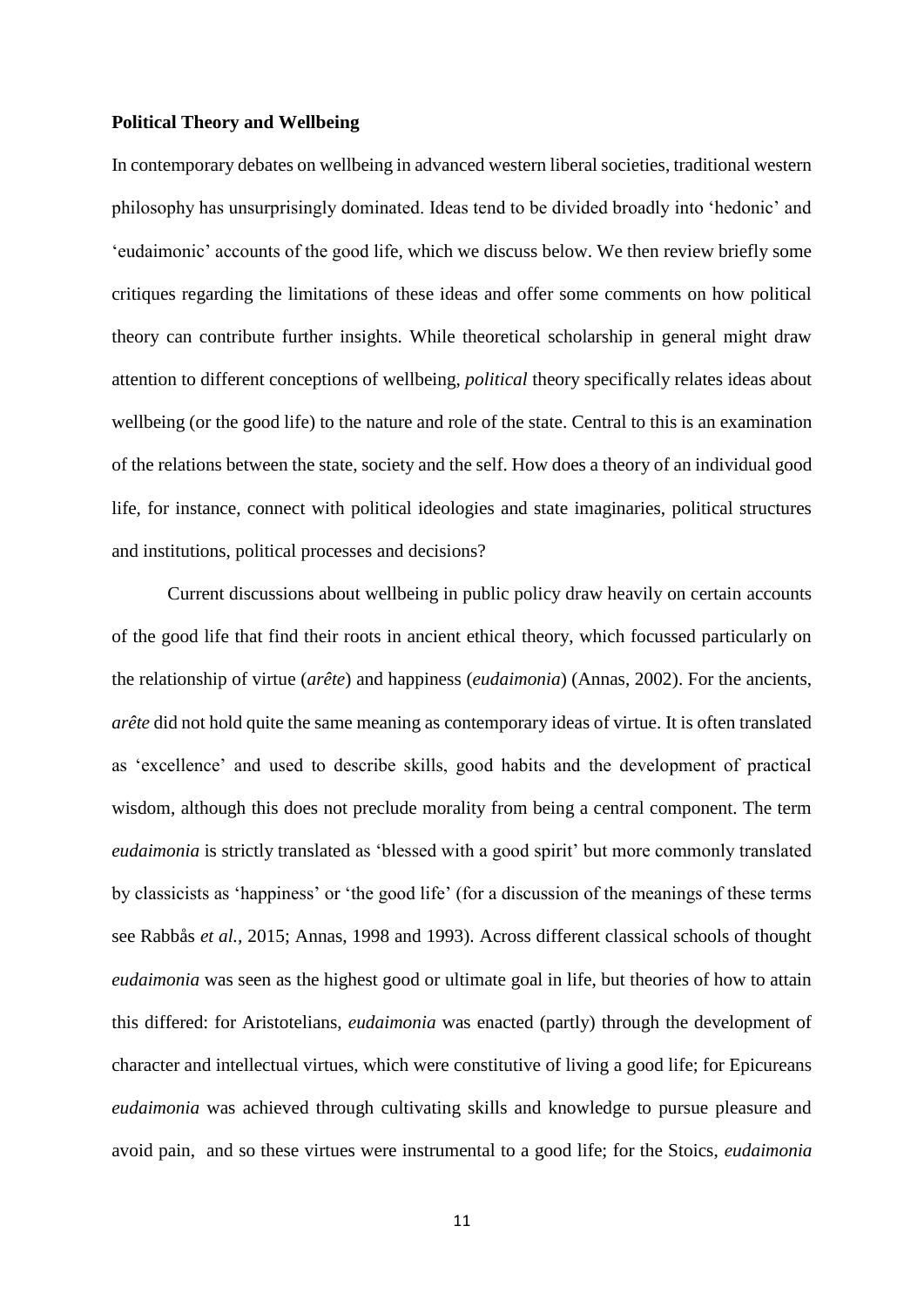#### **Political Theory and Wellbeing**

In contemporary debates on wellbeing in advanced western liberal societies, traditional western philosophy has unsurprisingly dominated. Ideas tend to be divided broadly into 'hedonic' and 'eudaimonic' accounts of the good life, which we discuss below. We then review briefly some critiques regarding the limitations of these ideas and offer some comments on how political theory can contribute further insights. While theoretical scholarship in general might draw attention to different conceptions of wellbeing, *political* theory specifically relates ideas about wellbeing (or the good life) to the nature and role of the state. Central to this is an examination of the relations between the state, society and the self. How does a theory of an individual good life, for instance, connect with political ideologies and state imaginaries, political structures and institutions, political processes and decisions?

Current discussions about wellbeing in public policy draw heavily on certain accounts of the good life that find their roots in ancient ethical theory, which focussed particularly on the relationship of virtue (*arête*) and happiness (*eudaimonia*) (Annas, 2002). For the ancients, *arête* did not hold quite the same meaning as contemporary ideas of virtue. It is often translated as 'excellence' and used to describe skills, good habits and the development of practical wisdom, although this does not preclude morality from being a central component. The term *eudaimonia* is strictly translated as 'blessed with a good spirit' but more commonly translated by classicists as 'happiness' or 'the good life' (for a discussion of the meanings of these terms see Rabbås *et al.,* 2015; Annas, 1998 and 1993). Across different classical schools of thought *eudaimonia* was seen as the highest good or ultimate goal in life, but theories of how to attain this differed: for Aristotelians, *eudaimonia* was enacted (partly) through the development of character and intellectual virtues, which were constitutive of living a good life; for Epicureans *eudaimonia* was achieved through cultivating skills and knowledge to pursue pleasure and avoid pain, and so these virtues were instrumental to a good life; for the Stoics, *eudaimonia*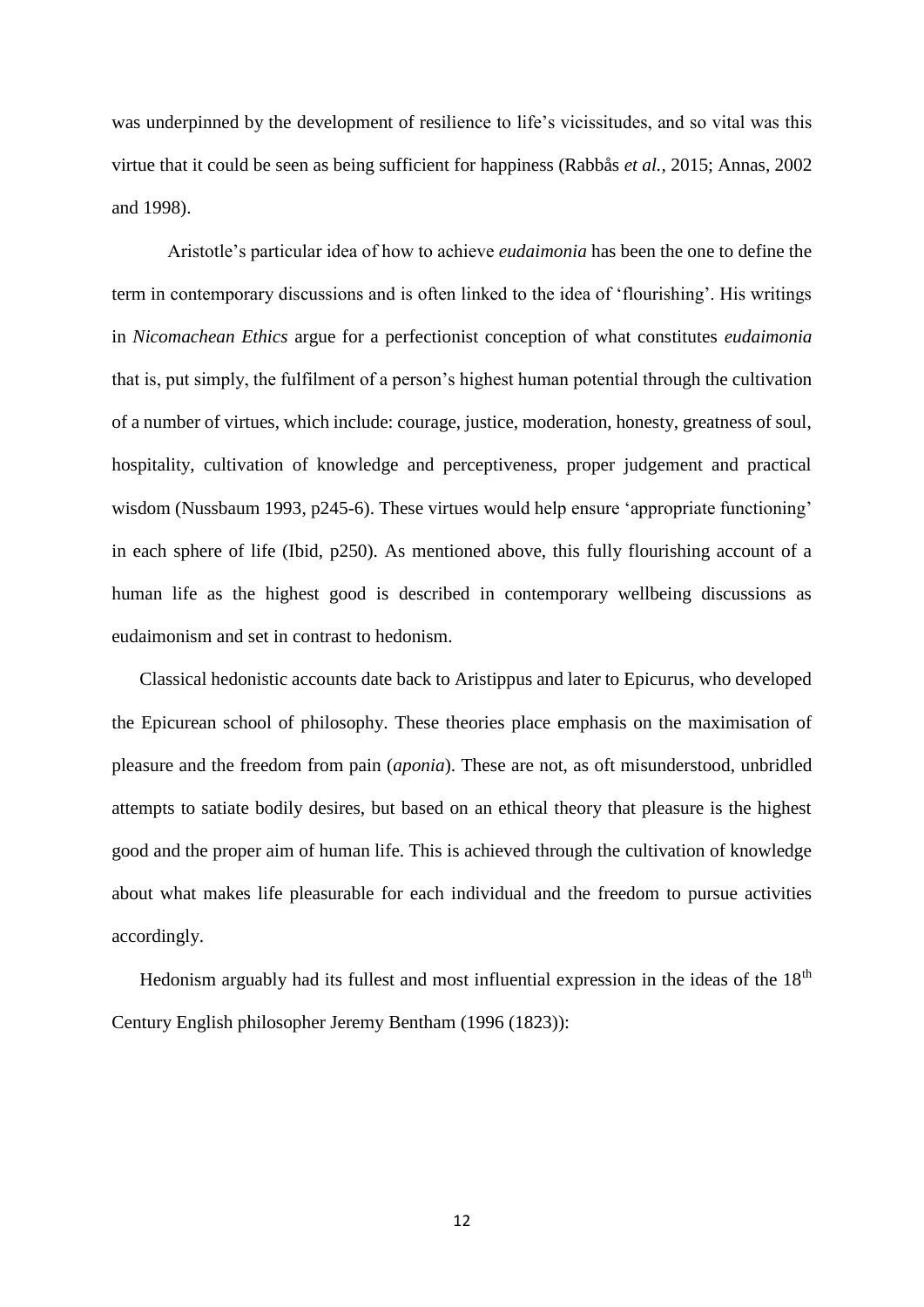was underpinned by the development of resilience to life's vicissitudes, and so vital was this virtue that it could be seen as being sufficient for happiness (Rabbås *et al.,* 2015; Annas, 2002 and 1998).

Aristotle's particular idea of how to achieve *eudaimonia* has been the one to define the term in contemporary discussions and is often linked to the idea of 'flourishing'. His writings in *Nicomachean Ethics* argue for a perfectionist conception of what constitutes *eudaimonia* that is, put simply, the fulfilment of a person's highest human potential through the cultivation of a number of virtues, which include: courage, justice, moderation, honesty, greatness of soul, hospitality, cultivation of knowledge and perceptiveness, proper judgement and practical wisdom (Nussbaum 1993, p245-6). These virtues would help ensure 'appropriate functioning' in each sphere of life (Ibid, p250). As mentioned above, this fully flourishing account of a human life as the highest good is described in contemporary wellbeing discussions as eudaimonism and set in contrast to hedonism.

Classical hedonistic accounts date back to Aristippus and later to Epicurus, who developed the Epicurean school of philosophy. These theories place emphasis on the maximisation of pleasure and the freedom from pain (*aponia*). These are not, as oft misunderstood, unbridled attempts to satiate bodily desires, but based on an ethical theory that pleasure is the highest good and the proper aim of human life. This is achieved through the cultivation of knowledge about what makes life pleasurable for each individual and the freedom to pursue activities accordingly.

Hedonism arguably had its fullest and most influential expression in the ideas of the  $18<sup>th</sup>$ Century English philosopher Jeremy Bentham (1996 (1823)):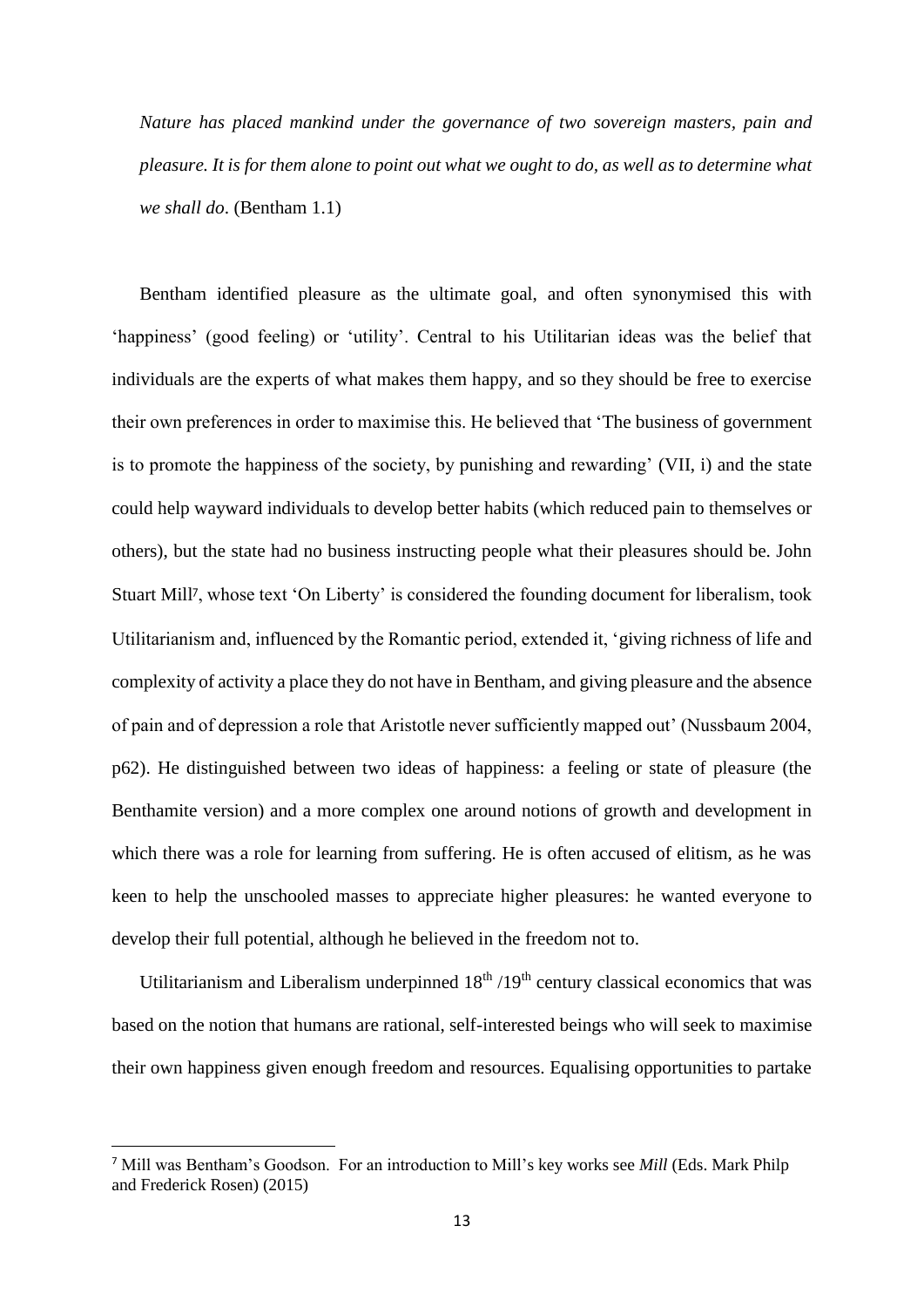*Nature has placed mankind under the governance of two sovereign masters, pain and pleasure. It is for them alone to point out what we ought to do, as well as to determine what we shall do*. (Bentham 1.1)

Bentham identified pleasure as the ultimate goal, and often synonymised this with 'happiness' (good feeling) or 'utility'. Central to his Utilitarian ideas was the belief that individuals are the experts of what makes them happy, and so they should be free to exercise their own preferences in order to maximise this. He believed that 'The business of government is to promote the happiness of the society, by punishing and rewarding' (VII, i) and the state could help wayward individuals to develop better habits (which reduced pain to themselves or others), but the state had no business instructing people what their pleasures should be. John Stuart Mill<sup>7</sup>, whose text 'On Liberty' is considered the founding document for liberalism, took Utilitarianism and, influenced by the Romantic period, extended it, 'giving richness of life and complexity of activity a place they do not have in Bentham, and giving pleasure and the absence of pain and of depression a role that Aristotle never sufficiently mapped out' (Nussbaum 2004, p62). He distinguished between two ideas of happiness: a feeling or state of pleasure (the Benthamite version) and a more complex one around notions of growth and development in which there was a role for learning from suffering. He is often accused of elitism, as he was keen to help the unschooled masses to appreciate higher pleasures: he wanted everyone to develop their full potential, although he believed in the freedom not to.

Utilitarianism and Liberalism underpinned  $18<sup>th</sup> / 19<sup>th</sup>$  century classical economics that was based on the notion that humans are rational, self-interested beings who will seek to maximise their own happiness given enough freedom and resources. Equalising opportunities to partake

**.** 

<sup>7</sup> Mill was Bentham's Goodson. For an introduction to Mill's key works see *Mill* (Eds. Mark Philp and Frederick Rosen) (2015)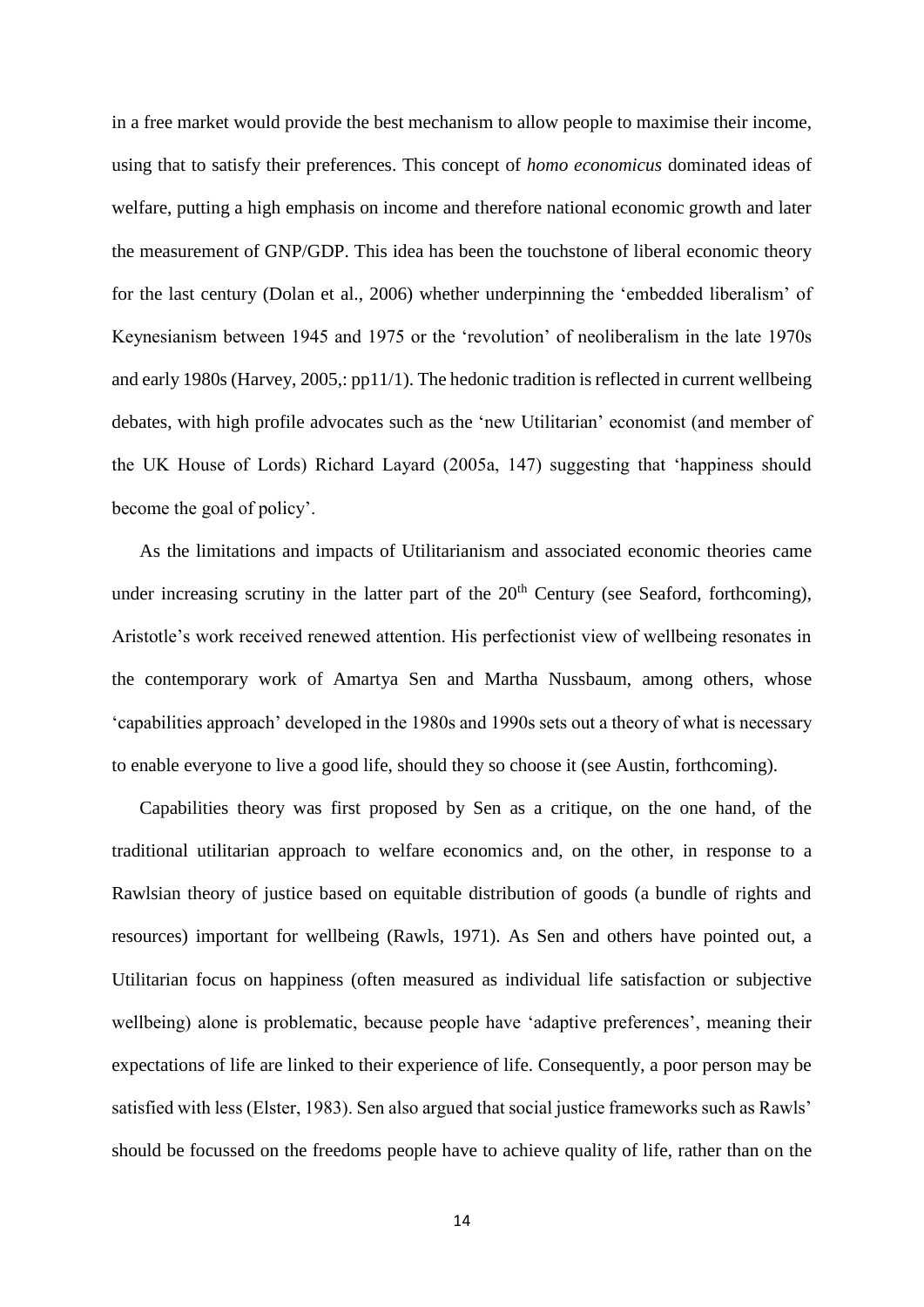in a free market would provide the best mechanism to allow people to maximise their income, using that to satisfy their preferences. This concept of *homo economicus* dominated ideas of welfare, putting a high emphasis on income and therefore national economic growth and later the measurement of GNP/GDP. This idea has been the touchstone of liberal economic theory for the last century (Dolan et al., 2006) whether underpinning the 'embedded liberalism' of Keynesianism between 1945 and 1975 or the 'revolution' of neoliberalism in the late 1970s and early 1980s (Harvey, 2005,: pp11/1). The hedonic tradition is reflected in current wellbeing debates, with high profile advocates such as the 'new Utilitarian' economist (and member of the UK House of Lords) Richard Layard (2005a, 147) suggesting that 'happiness should become the goal of policy'.

As the limitations and impacts of Utilitarianism and associated economic theories came under increasing scrutiny in the latter part of the  $20<sup>th</sup>$  Century (see Seaford, forthcoming), Aristotle's work received renewed attention. His perfectionist view of wellbeing resonates in the contemporary work of Amartya Sen and Martha Nussbaum, among others, whose 'capabilities approach' developed in the 1980s and 1990s sets out a theory of what is necessary to enable everyone to live a good life, should they so choose it (see Austin, forthcoming).

Capabilities theory was first proposed by Sen as a critique, on the one hand, of the traditional utilitarian approach to welfare economics and, on the other, in response to a Rawlsian theory of justice based on equitable distribution of goods (a bundle of rights and resources) important for wellbeing (Rawls, 1971). As Sen and others have pointed out, a Utilitarian focus on happiness (often measured as individual life satisfaction or subjective wellbeing) alone is problematic, because people have 'adaptive preferences', meaning their expectations of life are linked to their experience of life. Consequently, a poor person may be satisfied with less (Elster, 1983). Sen also argued that social justice frameworks such as Rawls' should be focussed on the freedoms people have to achieve quality of life, rather than on the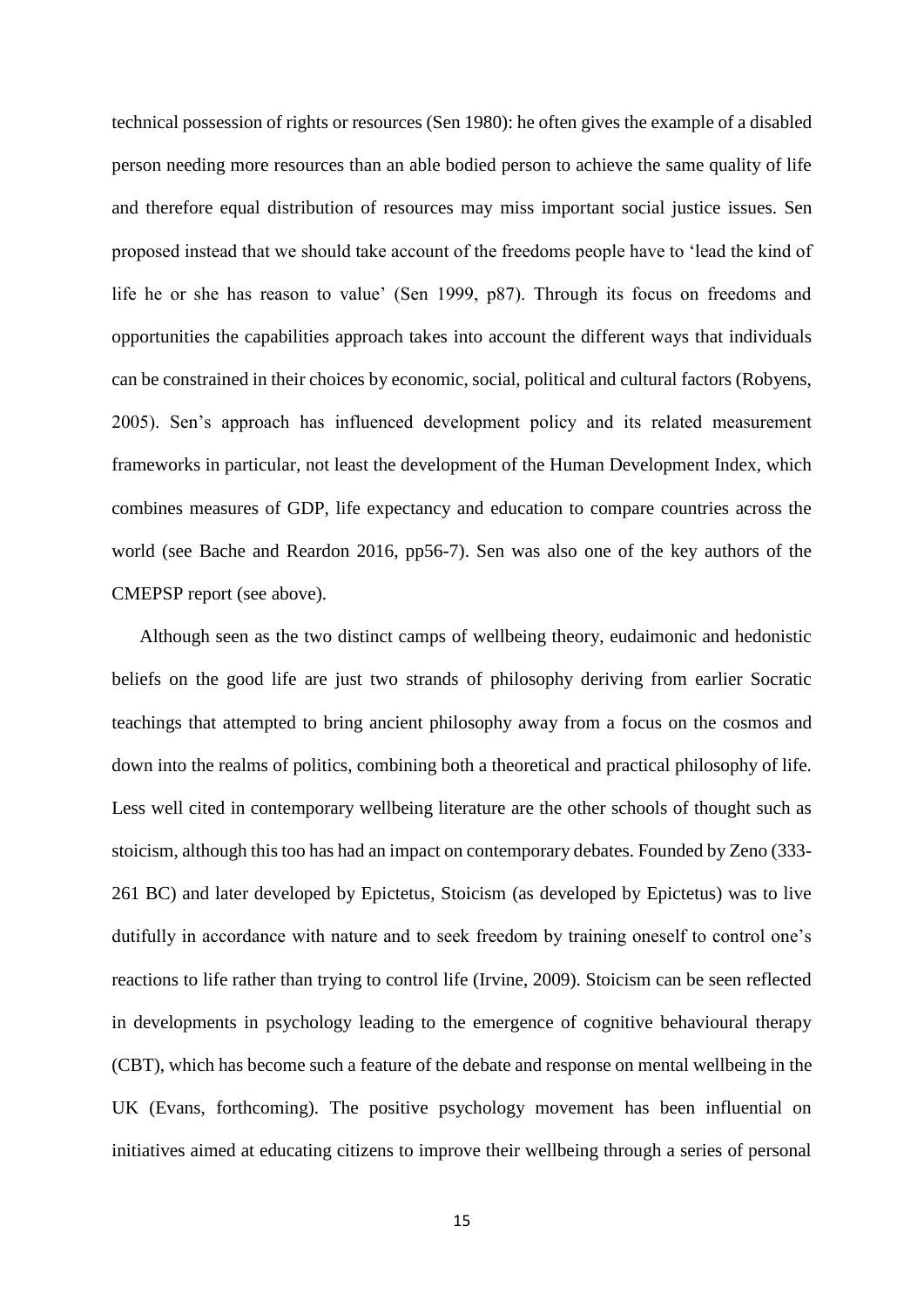technical possession of rights or resources (Sen 1980): he often gives the example of a disabled person needing more resources than an able bodied person to achieve the same quality of life and therefore equal distribution of resources may miss important social justice issues. Sen proposed instead that we should take account of the freedoms people have to 'lead the kind of life he or she has reason to value' (Sen 1999, p87). Through its focus on freedoms and opportunities the capabilities approach takes into account the different ways that individuals can be constrained in their choices by economic, social, political and cultural factors (Robyens, 2005). Sen's approach has influenced development policy and its related measurement frameworks in particular, not least the development of the Human Development Index, which combines measures of GDP, life expectancy and education to compare countries across the world (see Bache and Reardon 2016, pp56-7). Sen was also one of the key authors of the CMEPSP report (see above).

Although seen as the two distinct camps of wellbeing theory, eudaimonic and hedonistic beliefs on the good life are just two strands of philosophy deriving from earlier Socratic teachings that attempted to bring ancient philosophy away from a focus on the cosmos and down into the realms of politics, combining both a theoretical and practical philosophy of life. Less well cited in contemporary wellbeing literature are the other schools of thought such as stoicism, although this too has had an impact on contemporary debates. Founded by Zeno (333- 261 BC) and later developed by Epictetus, Stoicism (as developed by Epictetus) was to live dutifully in accordance with nature and to seek freedom by training oneself to control one's reactions to life rather than trying to control life (Irvine, 2009). Stoicism can be seen reflected in developments in psychology leading to the emergence of cognitive behavioural therapy (CBT), which has become such a feature of the debate and response on mental wellbeing in the UK (Evans, forthcoming). The positive psychology movement has been influential on initiatives aimed at educating citizens to improve their wellbeing through a series of personal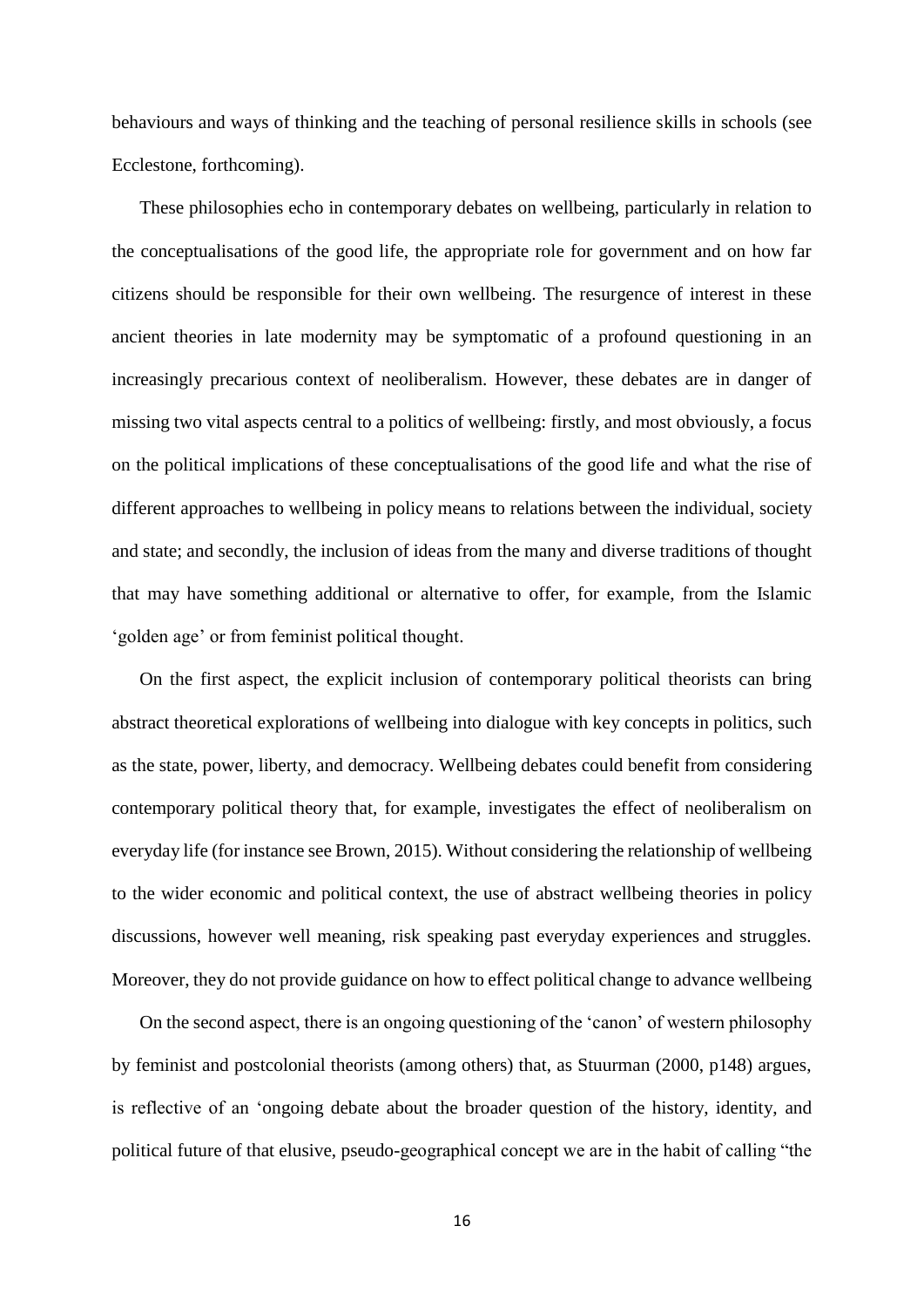behaviours and ways of thinking and the teaching of personal resilience skills in schools (see Ecclestone, forthcoming).

These philosophies echo in contemporary debates on wellbeing, particularly in relation to the conceptualisations of the good life, the appropriate role for government and on how far citizens should be responsible for their own wellbeing. The resurgence of interest in these ancient theories in late modernity may be symptomatic of a profound questioning in an increasingly precarious context of neoliberalism. However, these debates are in danger of missing two vital aspects central to a politics of wellbeing: firstly, and most obviously, a focus on the political implications of these conceptualisations of the good life and what the rise of different approaches to wellbeing in policy means to relations between the individual, society and state; and secondly, the inclusion of ideas from the many and diverse traditions of thought that may have something additional or alternative to offer, for example, from the Islamic 'golden age' or from feminist political thought.

On the first aspect, the explicit inclusion of contemporary political theorists can bring abstract theoretical explorations of wellbeing into dialogue with key concepts in politics, such as the state, power, liberty, and democracy. Wellbeing debates could benefit from considering contemporary political theory that, for example, investigates the effect of neoliberalism on everyday life (for instance see Brown, 2015). Without considering the relationship of wellbeing to the wider economic and political context, the use of abstract wellbeing theories in policy discussions, however well meaning, risk speaking past everyday experiences and struggles. Moreover, they do not provide guidance on how to effect political change to advance wellbeing

On the second aspect, there is an ongoing questioning of the 'canon' of western philosophy by feminist and postcolonial theorists (among others) that, as Stuurman (2000, p148) argues, is reflective of an 'ongoing debate about the broader question of the history, identity, and political future of that elusive, pseudo-geographical concept we are in the habit of calling "the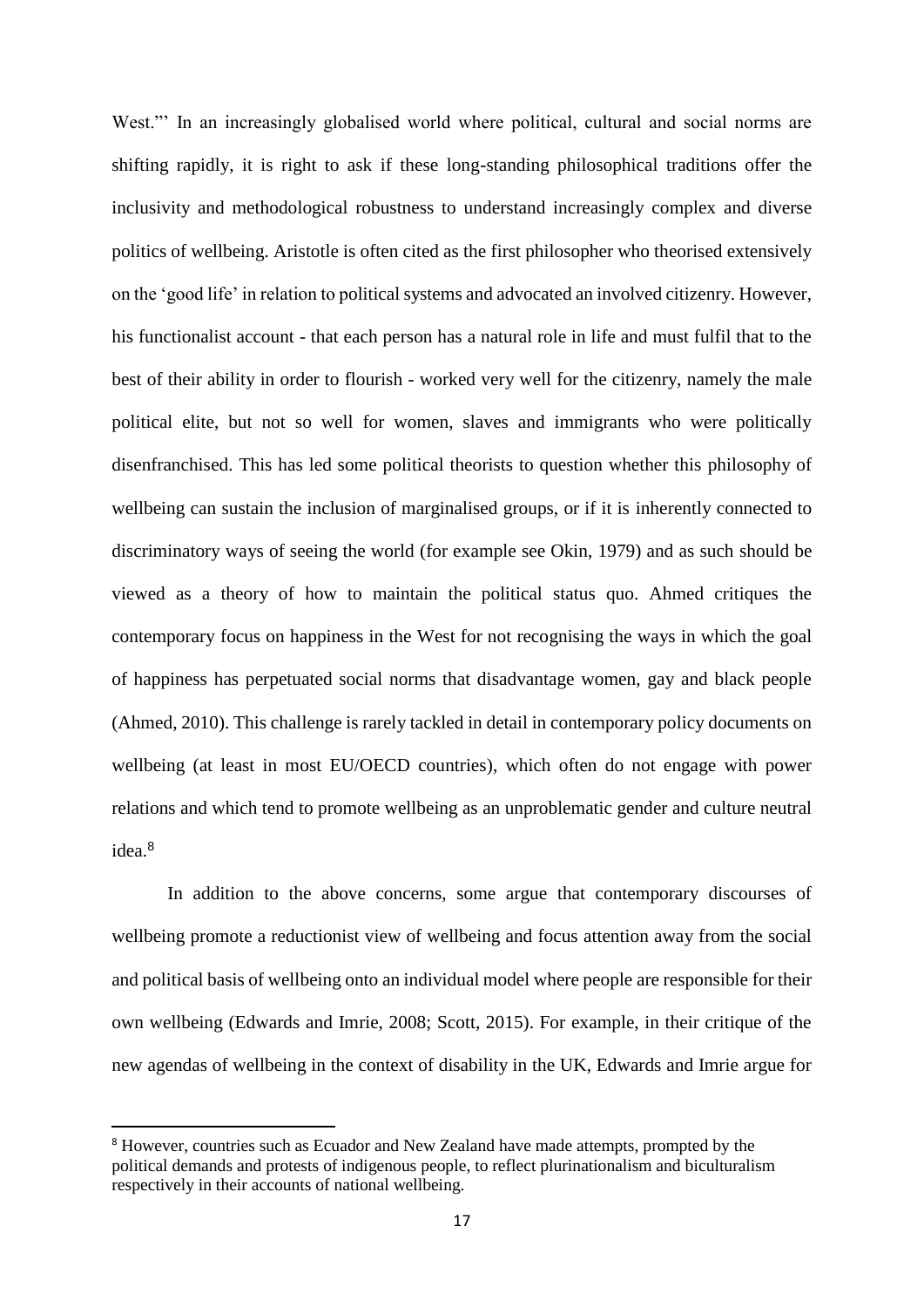West." In an increasingly globalised world where political, cultural and social norms are shifting rapidly, it is right to ask if these long-standing philosophical traditions offer the inclusivity and methodological robustness to understand increasingly complex and diverse politics of wellbeing. Aristotle is often cited as the first philosopher who theorised extensively on the 'good life' in relation to political systems and advocated an involved citizenry. However, his functionalist account - that each person has a natural role in life and must fulfil that to the best of their ability in order to flourish - worked very well for the citizenry, namely the male political elite, but not so well for women, slaves and immigrants who were politically disenfranchised. This has led some political theorists to question whether this philosophy of wellbeing can sustain the inclusion of marginalised groups, or if it is inherently connected to discriminatory ways of seeing the world (for example see Okin, 1979) and as such should be viewed as a theory of how to maintain the political status quo. Ahmed critiques the contemporary focus on happiness in the West for not recognising the ways in which the goal of happiness has perpetuated social norms that disadvantage women, gay and black people (Ahmed, 2010). This challenge is rarely tackled in detail in contemporary policy documents on wellbeing (at least in most EU/OECD countries), which often do not engage with power relations and which tend to promote wellbeing as an unproblematic gender and culture neutral idea.<sup>8</sup>

In addition to the above concerns, some argue that contemporary discourses of wellbeing promote a reductionist view of wellbeing and focus attention away from the social and political basis of wellbeing onto an individual model where people are responsible for their own wellbeing (Edwards and Imrie, 2008; Scott, 2015). For example, in their critique of the new agendas of wellbeing in the context of disability in the UK, Edwards and Imrie argue for

**.** 

<sup>&</sup>lt;sup>8</sup> However, countries such as Ecuador and New Zealand have made attempts, prompted by the political demands and protests of indigenous people, to reflect plurinationalism and biculturalism respectively in their accounts of national wellbeing.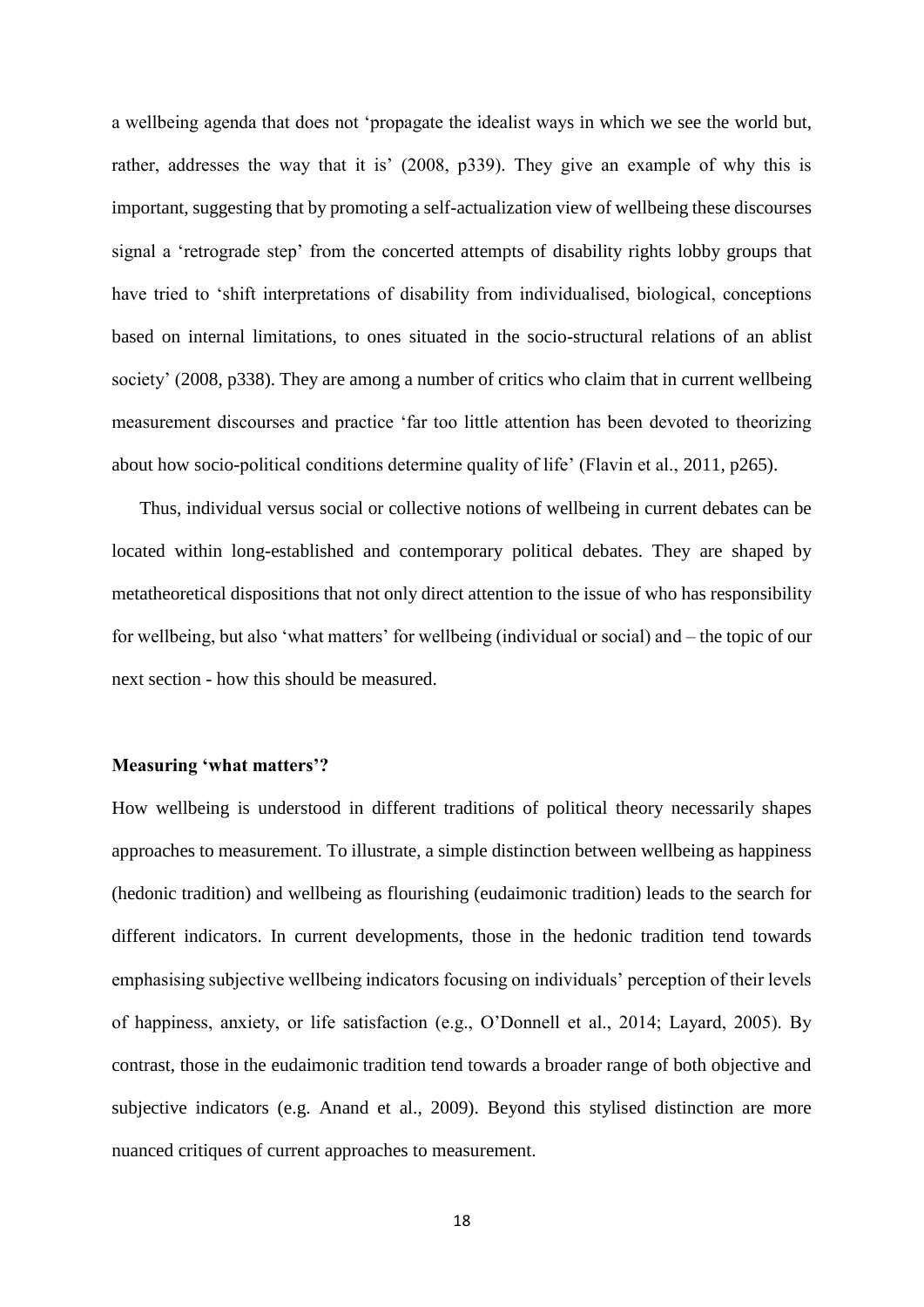a wellbeing agenda that does not 'propagate the idealist ways in which we see the world but, rather, addresses the way that it is' (2008, p339). They give an example of why this is important, suggesting that by promoting a self-actualization view of wellbeing these discourses signal a 'retrograde step' from the concerted attempts of disability rights lobby groups that have tried to 'shift interpretations of disability from individualised, biological, conceptions based on internal limitations, to ones situated in the socio-structural relations of an ablist society' (2008, p338). They are among a number of critics who claim that in current wellbeing measurement discourses and practice 'far too little attention has been devoted to theorizing about how socio-political conditions determine quality of life' (Flavin et al., 2011, p265).

Thus, individual versus social or collective notions of wellbeing in current debates can be located within long-established and contemporary political debates. They are shaped by metatheoretical dispositions that not only direct attention to the issue of who has responsibility for wellbeing, but also 'what matters' for wellbeing (individual or social) and – the topic of our next section - how this should be measured.

#### **Measuring 'what matters'?**

How wellbeing is understood in different traditions of political theory necessarily shapes approaches to measurement. To illustrate, a simple distinction between wellbeing as happiness (hedonic tradition) and wellbeing as flourishing (eudaimonic tradition) leads to the search for different indicators. In current developments, those in the hedonic tradition tend towards emphasising subjective wellbeing indicators focusing on individuals' perception of their levels of happiness, anxiety, or life satisfaction (e.g., O'Donnell et al., 2014; Layard, 2005). By contrast, those in the eudaimonic tradition tend towards a broader range of both objective and subjective indicators (e.g. Anand et al., 2009). Beyond this stylised distinction are more nuanced critiques of current approaches to measurement.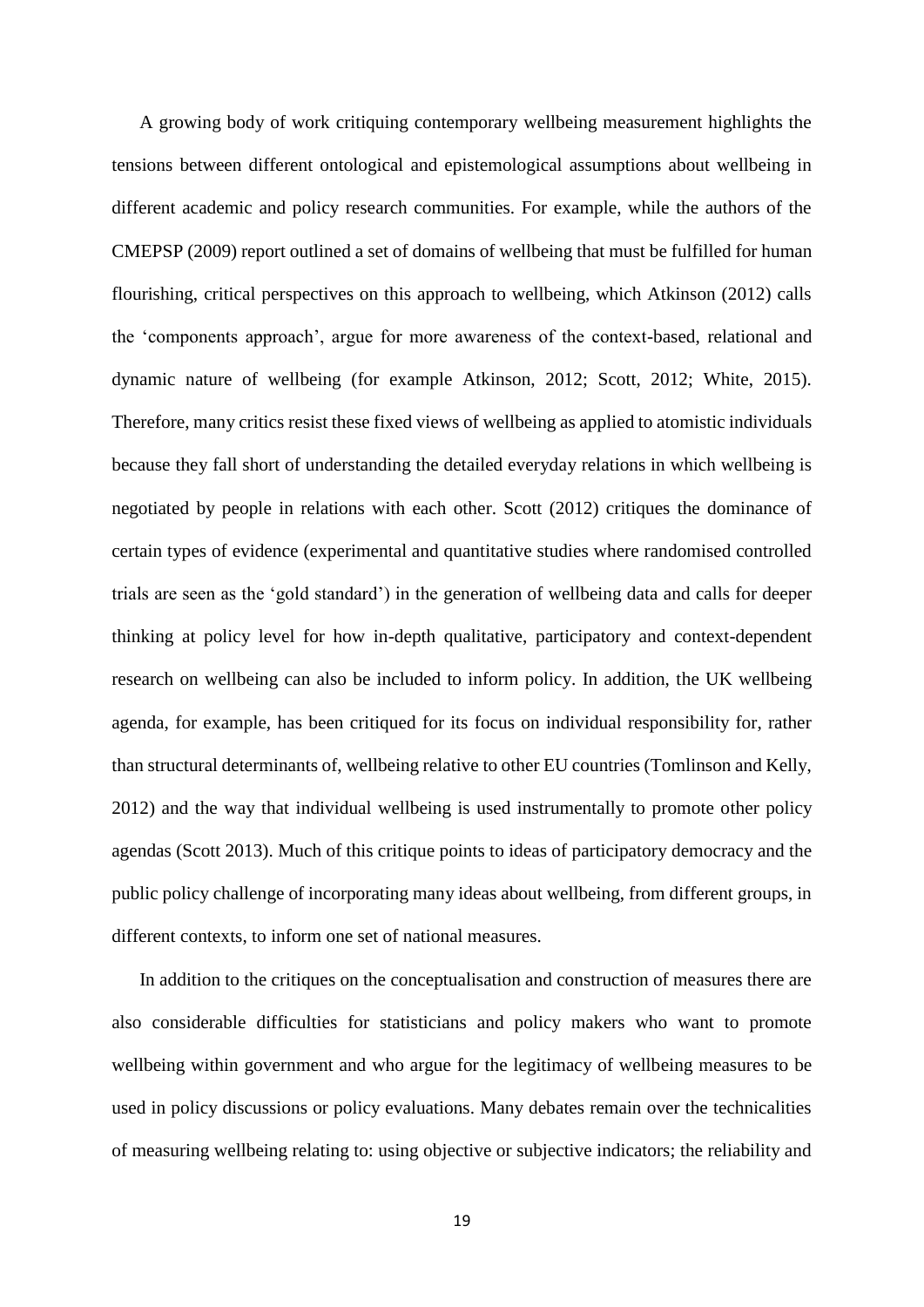A growing body of work critiquing contemporary wellbeing measurement highlights the tensions between different ontological and epistemological assumptions about wellbeing in different academic and policy research communities. For example, while the authors of the CMEPSP (2009) report outlined a set of domains of wellbeing that must be fulfilled for human flourishing, critical perspectives on this approach to wellbeing, which Atkinson (2012) calls the 'components approach', argue for more awareness of the context-based, relational and dynamic nature of wellbeing (for example Atkinson, 2012; Scott, 2012; White, 2015). Therefore, many critics resist these fixed views of wellbeing as applied to atomistic individuals because they fall short of understanding the detailed everyday relations in which wellbeing is negotiated by people in relations with each other. Scott (2012) critiques the dominance of certain types of evidence (experimental and quantitative studies where randomised controlled trials are seen as the 'gold standard') in the generation of wellbeing data and calls for deeper thinking at policy level for how in-depth qualitative, participatory and context-dependent research on wellbeing can also be included to inform policy. In addition, the UK wellbeing agenda, for example, has been critiqued for its focus on individual responsibility for, rather than structural determinants of, wellbeing relative to other EU countries (Tomlinson and Kelly, 2012) and the way that individual wellbeing is used instrumentally to promote other policy agendas (Scott 2013). Much of this critique points to ideas of participatory democracy and the public policy challenge of incorporating many ideas about wellbeing, from different groups, in different contexts, to inform one set of national measures.

In addition to the critiques on the conceptualisation and construction of measures there are also considerable difficulties for statisticians and policy makers who want to promote wellbeing within government and who argue for the legitimacy of wellbeing measures to be used in policy discussions or policy evaluations. Many debates remain over the technicalities of measuring wellbeing relating to: using objective or subjective indicators; the reliability and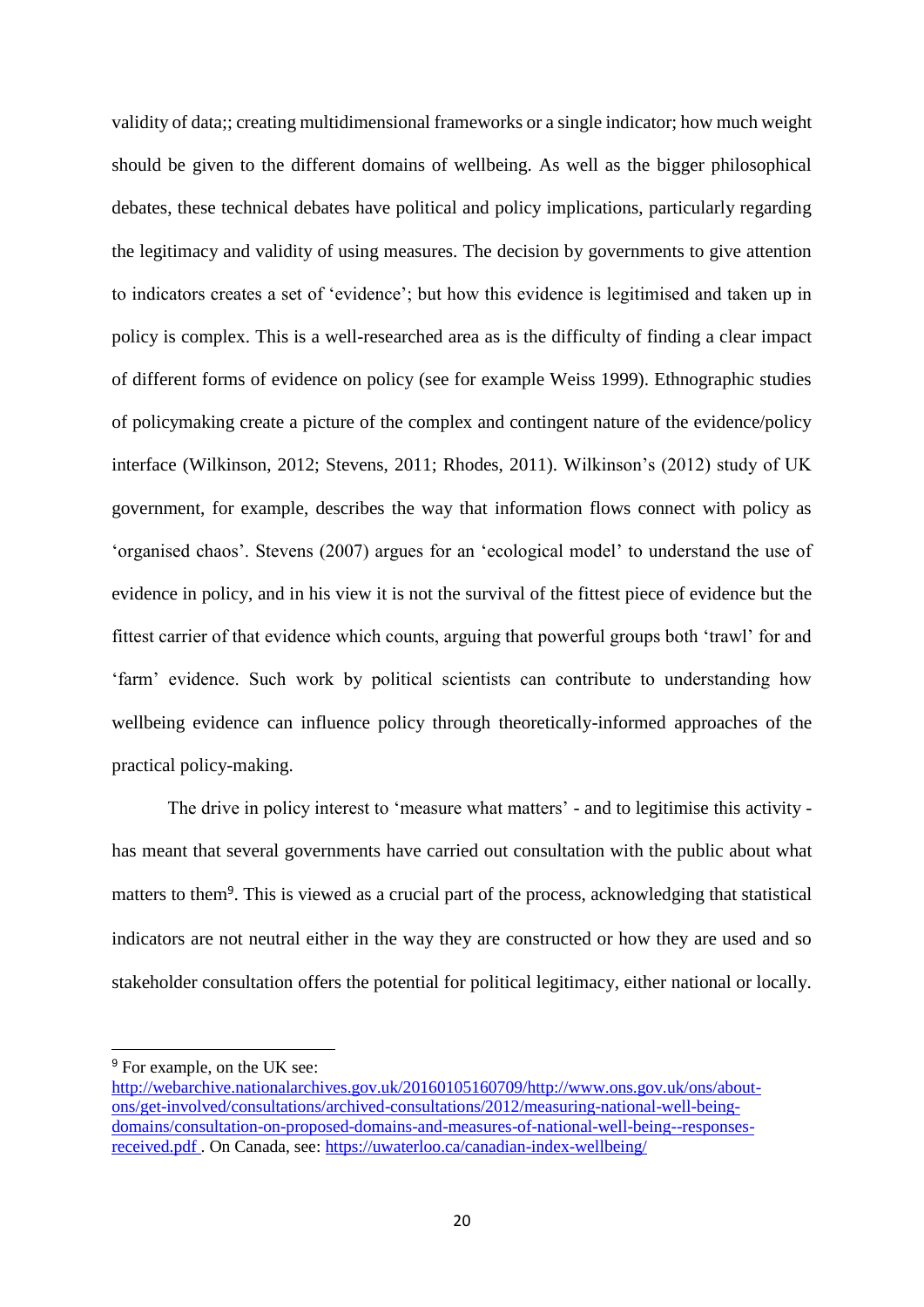validity of data;; creating multidimensional frameworks or a single indicator; how much weight should be given to the different domains of wellbeing. As well as the bigger philosophical debates, these technical debates have political and policy implications, particularly regarding the legitimacy and validity of using measures. The decision by governments to give attention to indicators creates a set of 'evidence'; but how this evidence is legitimised and taken up in policy is complex. This is a well-researched area as is the difficulty of finding a clear impact of different forms of evidence on policy (see for example Weiss 1999). Ethnographic studies of policymaking create a picture of the complex and contingent nature of the evidence/policy interface (Wilkinson, 2012; Stevens, 2011; Rhodes, 2011). Wilkinson's (2012) study of UK government, for example, describes the way that information flows connect with policy as 'organised chaos'. Stevens (2007) argues for an 'ecological model' to understand the use of evidence in policy, and in his view it is not the survival of the fittest piece of evidence but the fittest carrier of that evidence which counts, arguing that powerful groups both 'trawl' for and 'farm' evidence. Such work by political scientists can contribute to understanding how wellbeing evidence can influence policy through theoretically-informed approaches of the practical policy-making.

The drive in policy interest to 'measure what matters' - and to legitimise this activity has meant that several governments have carried out consultation with the public about what matters to them<sup>9</sup>. This is viewed as a crucial part of the process, acknowledging that statistical indicators are not neutral either in the way they are constructed or how they are used and so stakeholder consultation offers the potential for political legitimacy, either national or locally.

1

<sup>&</sup>lt;sup>9</sup> For example, on the UK see:

[http://webarchive.nationalarchives.gov.uk/20160105160709/http://www.ons.gov.uk/ons/about](http://webarchive.nationalarchives.gov.uk/20160105160709/http:/www.ons.gov.uk/ons/about-ons/get-involved/consultations/archived-consultations/2012/measuring-national-well-being-domains/consultation-on-proposed-domains-and-measures-of-national-well-being--responses-received.pdf)[ons/get-involved/consultations/archived-consultations/2012/measuring-national-well-being](http://webarchive.nationalarchives.gov.uk/20160105160709/http:/www.ons.gov.uk/ons/about-ons/get-involved/consultations/archived-consultations/2012/measuring-national-well-being-domains/consultation-on-proposed-domains-and-measures-of-national-well-being--responses-received.pdf)[domains/consultation-on-proposed-domains-and-measures-of-national-well-being--responses](http://webarchive.nationalarchives.gov.uk/20160105160709/http:/www.ons.gov.uk/ons/about-ons/get-involved/consultations/archived-consultations/2012/measuring-national-well-being-domains/consultation-on-proposed-domains-and-measures-of-national-well-being--responses-received.pdf)[received.pdf](http://webarchive.nationalarchives.gov.uk/20160105160709/http:/www.ons.gov.uk/ons/about-ons/get-involved/consultations/archived-consultations/2012/measuring-national-well-being-domains/consultation-on-proposed-domains-and-measures-of-national-well-being--responses-received.pdf) . On Canada, see: <https://uwaterloo.ca/canadian-index-wellbeing/>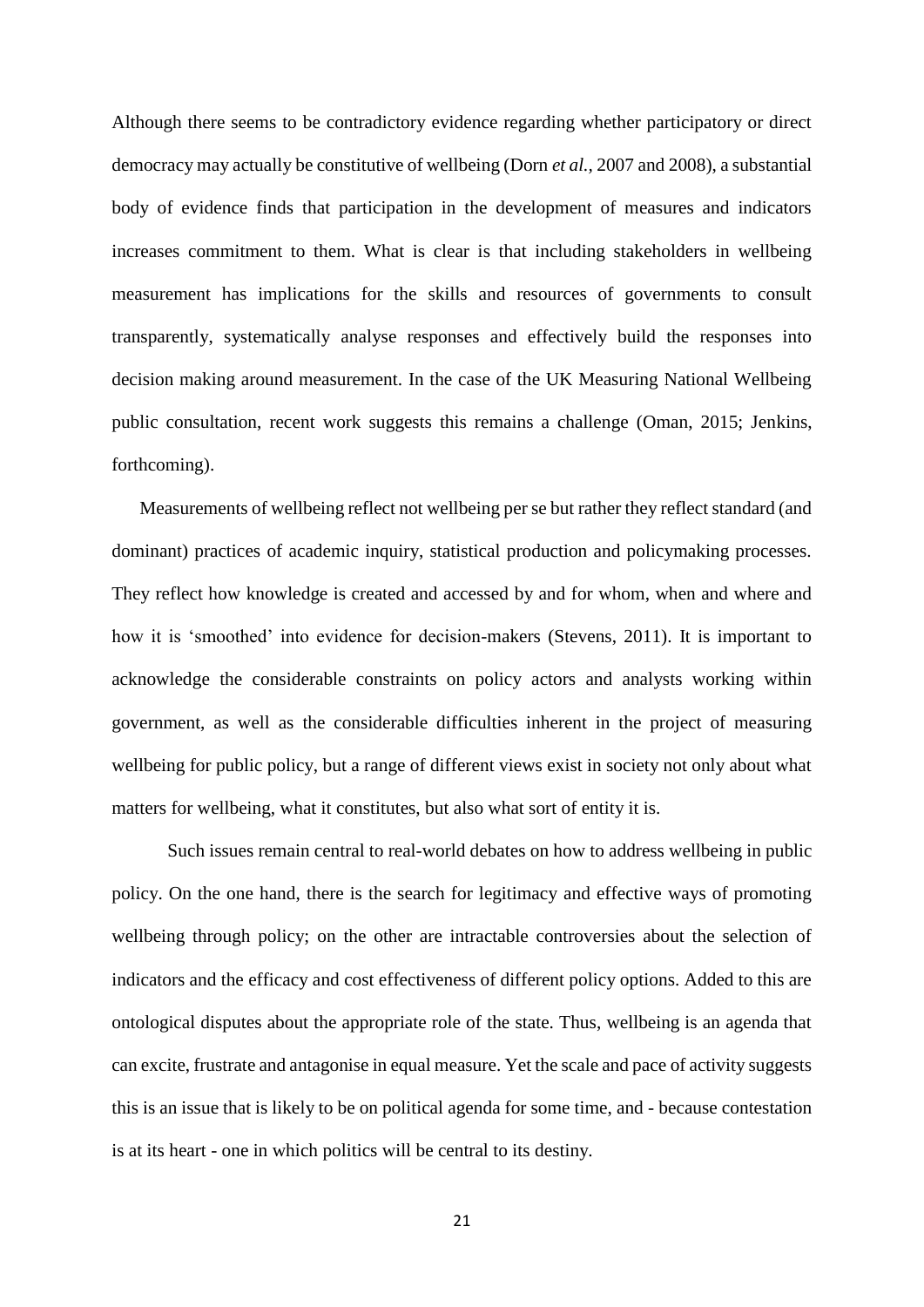Although there seems to be contradictory evidence regarding whether participatory or direct democracy may actually be constitutive of wellbeing (Dorn *et al.,* 2007 and 2008), a substantial body of evidence finds that participation in the development of measures and indicators increases commitment to them. What is clear is that including stakeholders in wellbeing measurement has implications for the skills and resources of governments to consult transparently, systematically analyse responses and effectively build the responses into decision making around measurement. In the case of the UK Measuring National Wellbeing public consultation, recent work suggests this remains a challenge (Oman, 2015; Jenkins, forthcoming).

Measurements of wellbeing reflect not wellbeing per se but rather they reflect standard (and dominant) practices of academic inquiry, statistical production and policymaking processes. They reflect how knowledge is created and accessed by and for whom, when and where and how it is 'smoothed' into evidence for decision-makers (Stevens, 2011). It is important to acknowledge the considerable constraints on policy actors and analysts working within government, as well as the considerable difficulties inherent in the project of measuring wellbeing for public policy, but a range of different views exist in society not only about what matters for wellbeing, what it constitutes, but also what sort of entity it is.

Such issues remain central to real-world debates on how to address wellbeing in public policy. On the one hand, there is the search for legitimacy and effective ways of promoting wellbeing through policy; on the other are intractable controversies about the selection of indicators and the efficacy and cost effectiveness of different policy options. Added to this are ontological disputes about the appropriate role of the state. Thus, wellbeing is an agenda that can excite, frustrate and antagonise in equal measure. Yet the scale and pace of activity suggests this is an issue that is likely to be on political agenda for some time, and - because contestation is at its heart - one in which politics will be central to its destiny.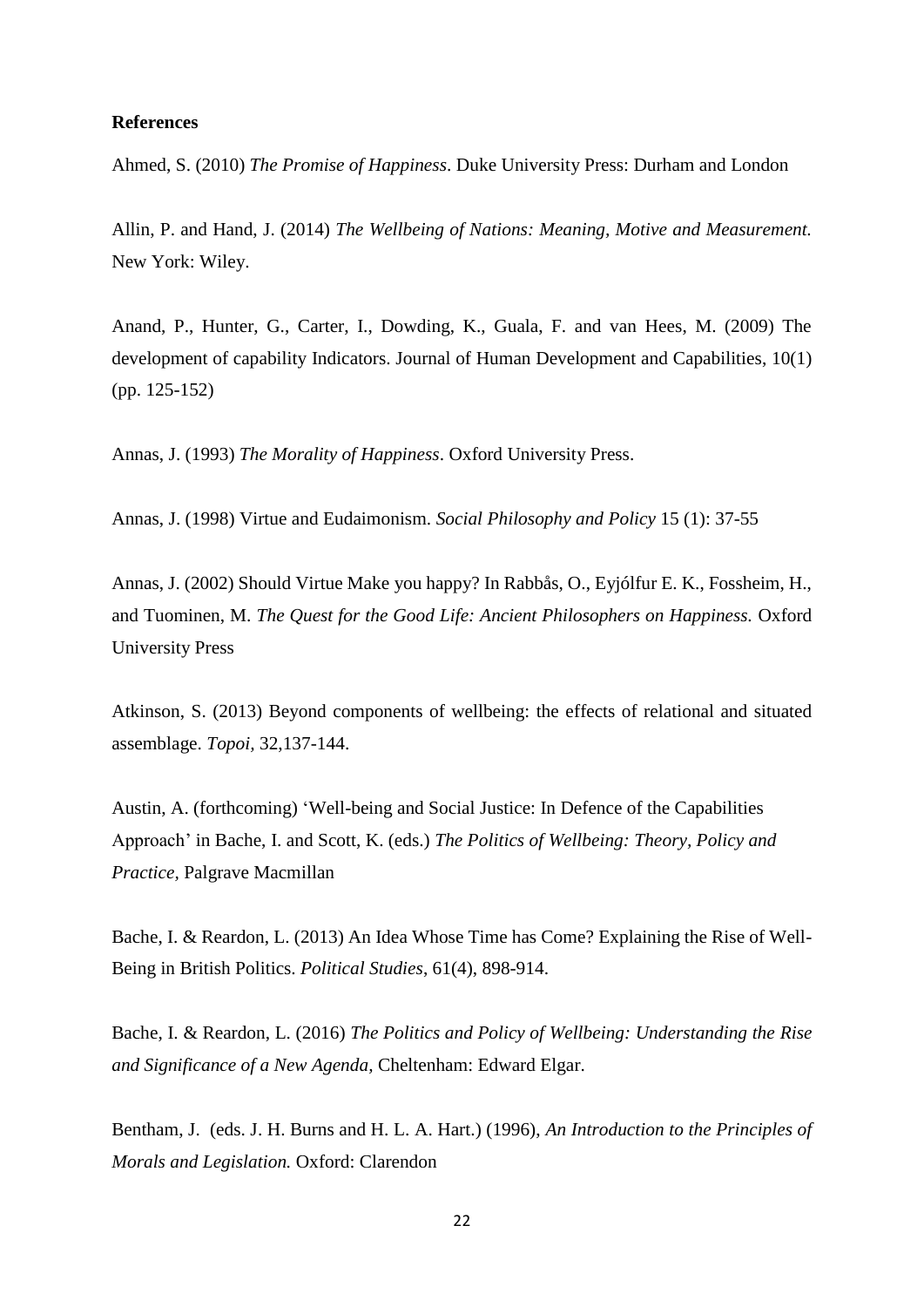#### **References**

Ahmed, S. (2010) *The Promise of Happiness*. Duke University Press: Durham and London

Allin, P. and Hand, J. (2014) *The Wellbeing of Nations: Meaning, Motive and Measurement.*  New York: Wiley.

Anand, P., Hunter, G., Carter, I., Dowding, K., Guala, F. and van Hees, M. (2009) The development of capability Indicators. Journal of Human Development and Capabilities, 10(1) (pp. 125-152)

Annas, J. (1993) *The Morality of Happiness*. Oxford University Press.

Annas, J. (1998) Virtue and Eudaimonism. *Social Philosophy and Policy* 15 (1): 37-55

Annas, J. (2002) Should Virtue Make you happy? In Rabbås, O., Eyjólfur E. K., Fossheim, H., and Tuominen, M. *The Quest for the Good Life: Ancient Philosophers on Happiness.* Oxford University Press

Atkinson, S. (2013) Beyond components of wellbeing: the effects of relational and situated assemblage. *Topoi,* 32,137-144.

Austin, A. (forthcoming) 'Well-being and Social Justice: In Defence of the Capabilities Approach' in Bache, I. and Scott, K. (eds.) *The Politics of Wellbeing: Theory, Policy and Practice,* Palgrave Macmillan

Bache, I. & Reardon, L. (2013) An Idea Whose Time has Come? Explaining the Rise of Well-Being in British Politics. *Political Studies*, 61(4), 898-914.

Bache, I. & Reardon, L. (2016) *The Politics and Policy of Wellbeing: Understanding the Rise and Significance of a New Agenda,* Cheltenham: Edward Elgar.

Bentham, J. (eds. J. H. Burns and H. L. A. Hart.) (1996), *An Introduction to the Principles of Morals and Legislation.* Oxford: Clarendon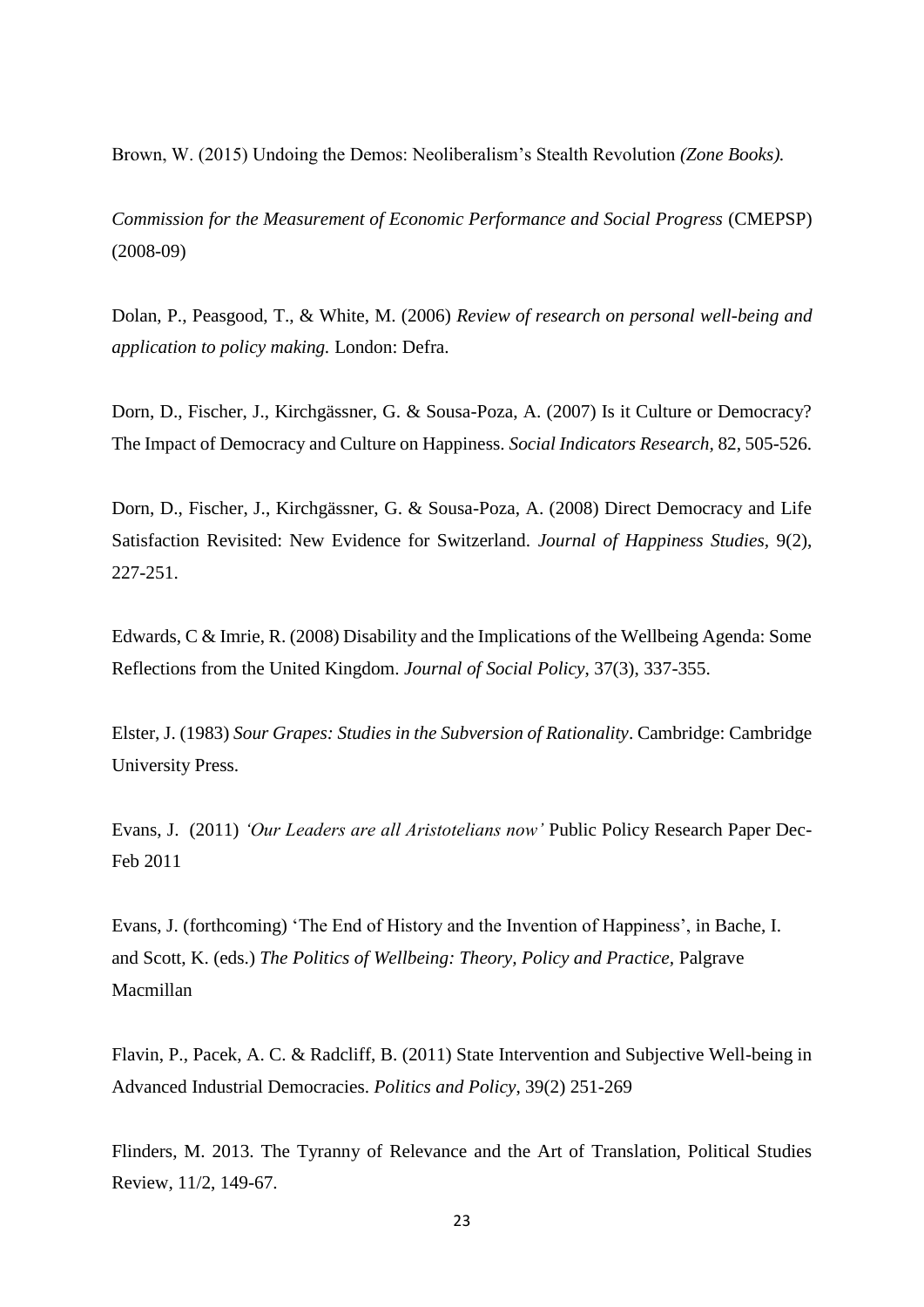Brown, W. (2015) Undoing the Demos: Neoliberalism's Stealth Revolution *(Zone Books).*

*Commission for the Measurement of Economic Performance and Social Progress* (CMEPSP) (2008-09)

Dolan, P., Peasgood, T., & White, M. (2006) *Review of research on personal well-being and application to policy making.* London: Defra.

Dorn, D., Fischer, J., Kirchgässner, G. & Sousa-Poza, A. (2007) Is it Culture or Democracy? The Impact of Democracy and Culture on Happiness. *Social Indicators Research,* 82, 505-526.

Dorn, D., Fischer, J., Kirchgässner, G. & Sousa-Poza, A. (2008) Direct Democracy and Life Satisfaction Revisited: New Evidence for Switzerland. *Journal of Happiness Studies,* 9(2), 227-251.

Edwards, C & Imrie, R. (2008) Disability and the Implications of the Wellbeing Agenda: Some Reflections from the United Kingdom. *Journal of Social Policy*, 37(3), 337-355.

Elster, J. (1983) *Sour Grapes: Studies in the Subversion of Rationality*. Cambridge: Cambridge University Press.

Evans, J. (2011) *'Our Leaders are all Aristotelians now'* Public Policy Research Paper Dec-Feb 2011

Evans, J. (forthcoming) 'The End of History and the Invention of Happiness', in Bache, I. and Scott, K. (eds.) *The Politics of Wellbeing: Theory, Policy and Practice,* Palgrave Macmillan

Flavin, P., Pacek, A. C. & Radcliff, B. (2011) State Intervention and Subjective Well-being in Advanced Industrial Democracies. *Politics and Policy*, 39(2) 251-269

Flinders, M. 2013. The Tyranny of Relevance and the Art of Translation, Political Studies Review, 11/2, 149-67.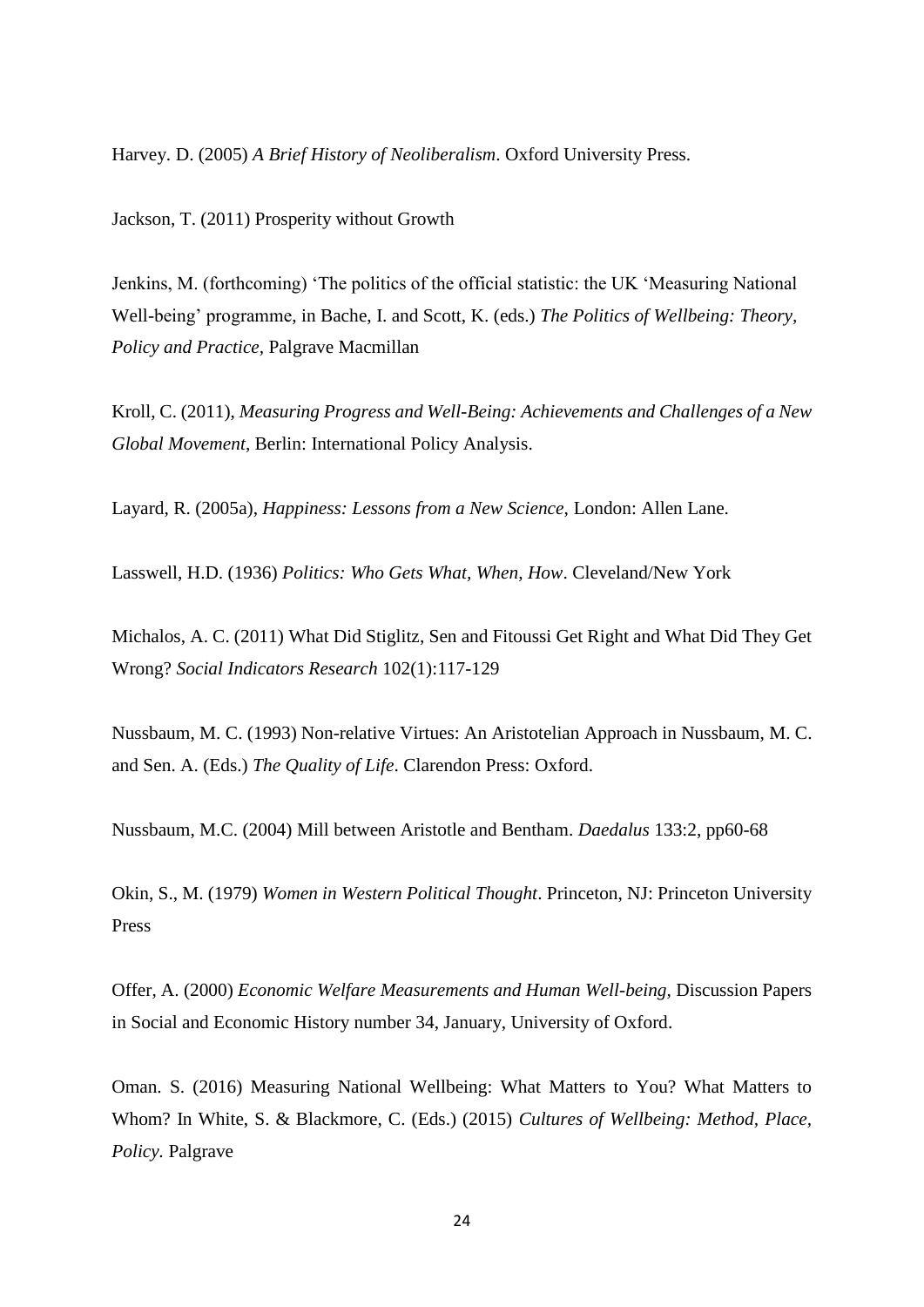Harvey. D. (2005) *A Brief History of Neoliberalism*. Oxford University Press.

Jackson, T. (2011) Prosperity without Growth

Jenkins, M. (forthcoming) 'The politics of the official statistic: the UK 'Measuring National Well-being' programme, in Bache, I. and Scott, K. (eds.) *The Politics of Wellbeing: Theory, Policy and Practice,* Palgrave Macmillan

Kroll, C. (2011), *Measuring Progress and Well-Being: Achievements and Challenges of a New Global Movement*, Berlin: International Policy Analysis.

Layard, R. (2005a), *Happiness: Lessons from a New Science*, London: Allen Lane.

Lasswell, H.D. (1936) *Politics: Who Gets What, When, How*. Cleveland/New York

Michalos, A. C. (2011) What Did Stiglitz, Sen and Fitoussi Get Right and What Did They Get Wrong? *Social Indicators Research* 102(1):117-129

Nussbaum, M. C. (1993) Non-relative Virtues: An Aristotelian Approach in Nussbaum, M. C. and Sen. A. (Eds.) *The Quality of Life*. Clarendon Press: Oxford.

Nussbaum, M.C. (2004) Mill between Aristotle and Bentham. *Daedalus* 133:2, pp60-68

Okin, S., M. (1979) *Women in Western Political Thought*. Princeton, NJ: Princeton University Press

Offer, A. (2000) *Economic Welfare Measurements and Human Well-being*, Discussion Papers in Social and Economic History number 34, January, University of Oxford.

Oman. S. (2016) Measuring National Wellbeing: What Matters to You? What Matters to Whom? In White, S. & Blackmore, C. (Eds.) (2015) *Cultures of Wellbeing: Method, Place, Policy.* Palgrave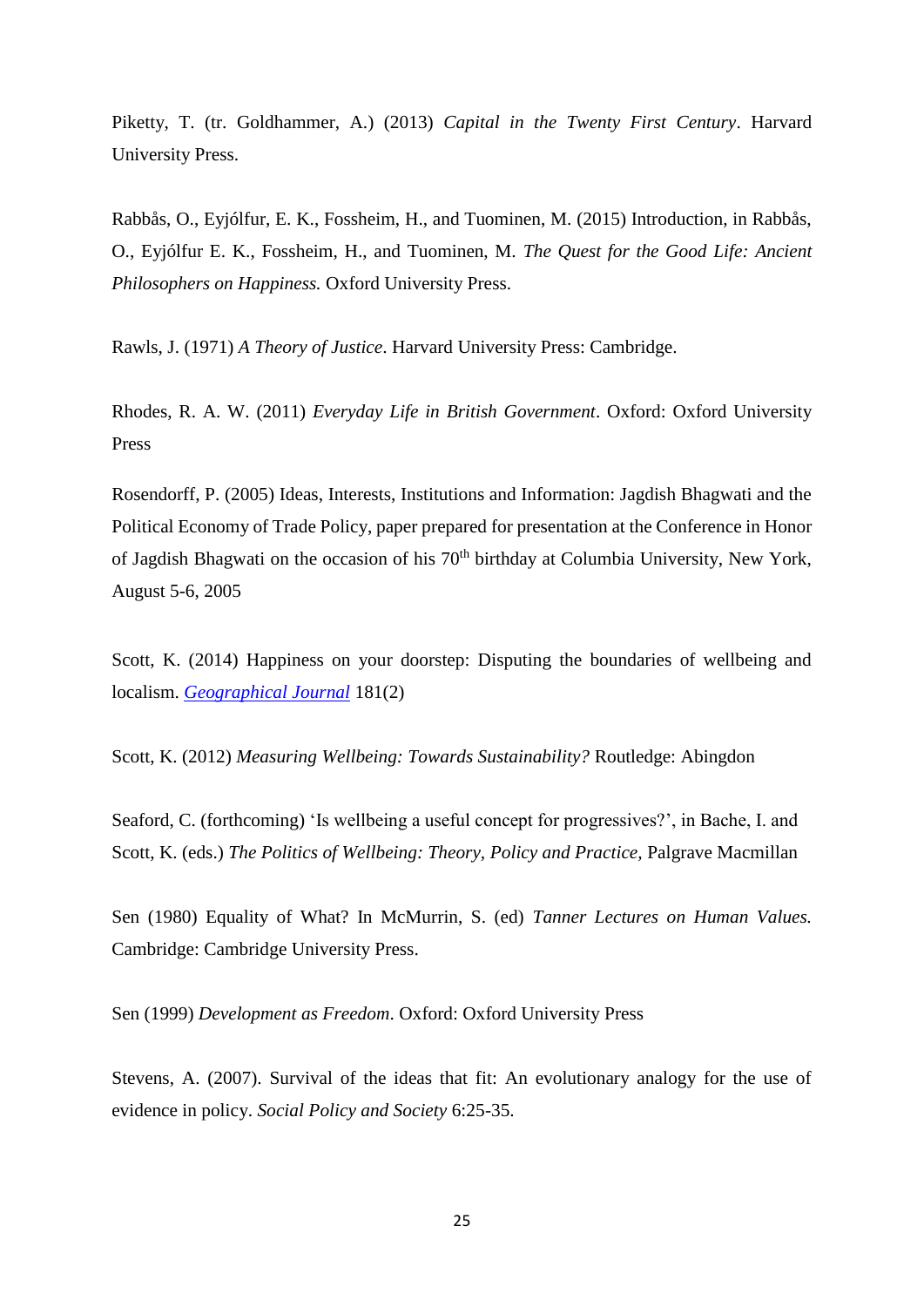Piketty, T. (tr. Goldhammer, A.) (2013) *Capital in the Twenty First Century*. Harvard University Press.

Rabbås, O., Eyjólfur, E. K., Fossheim, H., and Tuominen, M. (2015) Introduction, in Rabbås, O., Eyjólfur E. K., Fossheim, H., and Tuominen, M. *The Quest for the Good Life: Ancient Philosophers on Happiness.* Oxford University Press.

Rawls, J. (1971) *A Theory of Justice*. Harvard University Press: Cambridge.

Rhodes, R. A. W. (2011) *Everyday Life in British Government*. Oxford: Oxford University Press

Rosendorff, P. (2005) Ideas, Interests, Institutions and Information: Jagdish Bhagwati and the Political Economy of Trade Policy, paper prepared for presentation at the Conference in Honor of Jagdish Bhagwati on the occasion of his 70<sup>th</sup> birthday at Columbia University, New York, August 5-6, 2005

Scott, K. (2014) Happiness on your doorstep: Disputing the boundaries of wellbeing and localism. *[Geographical Journal](https://www.researchgate.net/journal/1475-4959_Geographical_Journal)* 181(2)

Scott, K. (2012) *Measuring Wellbeing: Towards Sustainability?* Routledge: Abingdon

Seaford, C. (forthcoming) 'Is wellbeing a useful concept for progressives?', in Bache, I. and Scott, K. (eds.) *The Politics of Wellbeing: Theory, Policy and Practice, Palgrave Macmillan* 

Sen (1980) Equality of What? In McMurrin, S. (ed) *Tanner Lectures on Human Values.* Cambridge: Cambridge University Press.

Sen (1999) *Development as Freedom*. Oxford: Oxford University Press

Stevens, A. (2007). Survival of the ideas that fit: An evolutionary analogy for the use of evidence in policy. *Social Policy and Society* 6:25-35.